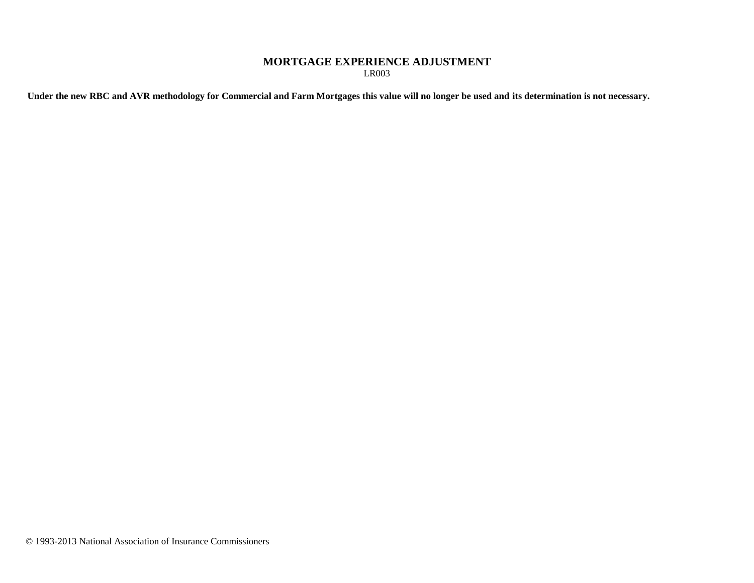## **MORTGAGE EXPERIENCE ADJUSTMENT** LR003

**Under the new RBC and AVR methodology for Commercial and Farm Mortgages this value will no longer be used and its determination is not necessary.**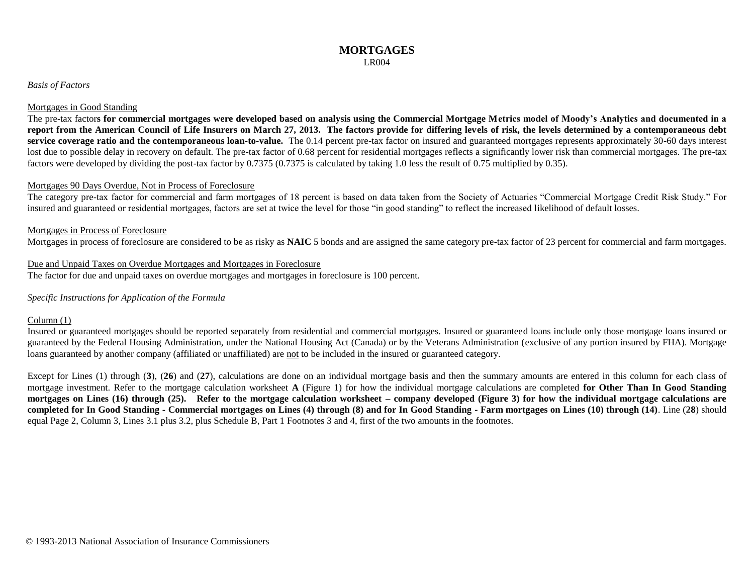#### *Basis of Factors*

#### Mortgages in Good Standing

The pre-tax factor**s for commercial mortgages were developed based on analysis using the Commercial Mortgage Metrics model of Moody's Analytics and documented in a report from the American Council of Life Insurers on March 27, 2013. The factors provide for differing levels of risk, the levels determined by a contemporaneous debt service coverage ratio and the contemporaneous loan-to-value.** The 0.14 percent pre-tax factor on insured and guaranteed mortgages represents approximately 30-60 days interest lost due to possible delay in recovery on default. The pre-tax factor of 0.68 percent for residential mortgages reflects a significantly lower risk than commercial mortgages. The pre-tax factors were developed by dividing the post-tax factor by 0.7375 (0.7375 is calculated by taking 1.0 less the result of 0.75 multiplied by 0.35).

#### Mortgages 90 Days Overdue, Not in Process of Foreclosure

The category pre-tax factor for commercial and farm mortgages of 18 percent is based on data taken from the Society of Actuaries "Commercial Mortgage Credit Risk Study." For insured and guaranteed or residential mortgages, factors are set at twice the level for those "in good standing" to reflect the increased likelihood of default losses.

#### Mortgages in Process of Foreclosure

Mortgages in process of foreclosure are considered to be as risky as **NAIC** 5 bonds and are assigned the same category pre-tax factor of 23 percent for commercial and farm mortgages.

### Due and Unpaid Taxes on Overdue Mortgages and Mortgages in Foreclosure

The factor for due and unpaid taxes on overdue mortgages and mortgages in foreclosure is 100 percent.

#### *Specific Instructions for Application of the Formula*

#### Column (1)

Insured or guaranteed mortgages should be reported separately from residential and commercial mortgages. Insured or guaranteed loans include only those mortgage loans insured or guaranteed by the Federal Housing Administration, under the National Housing Act (Canada) or by the Veterans Administration (exclusive of any portion insured by FHA). Mortgage loans guaranteed by another company (affiliated or unaffiliated) are not to be included in the insured or guaranteed category.

Except for Lines (1) through (3), (26) and (27), calculations are done on an individual mortgage basis and then the summary amounts are entered in this column for each class of mortgage investment. Refer to the mortgage calculation worksheet **A** (Figure 1) for how the individual mortgage calculations are completed **for Other Than In Good Standing mortgages on Lines (16) through (25). Refer to the mortgage calculation worksheet – company developed (Figure 3) for how the individual mortgage calculations are completed for In Good Standing - Commercial mortgages on Lines (4) through (8) and for In Good Standing - Farm mortgages on Lines (10) through (14)**. Line (**28**) should equal Page 2, Column 3, Lines 3.1 plus 3.2, plus Schedule B, Part 1 Footnotes 3 and 4, first of the two amounts in the footnotes.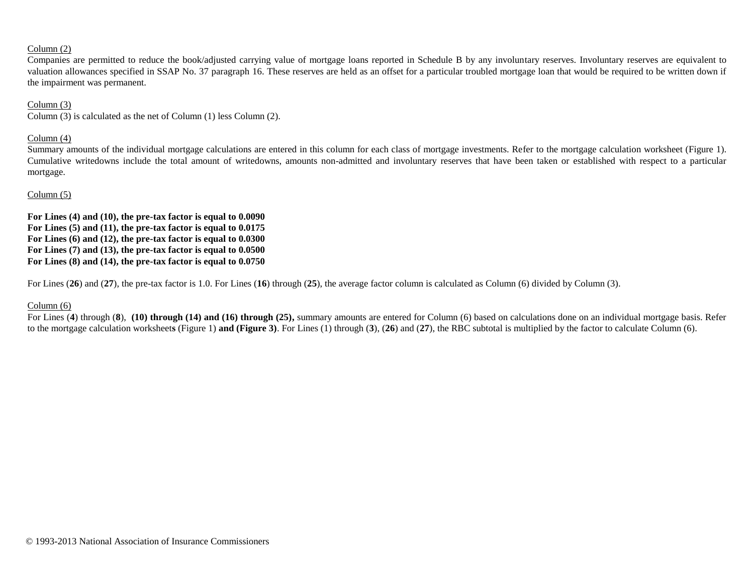### Column (2)

Companies are permitted to reduce the book/adjusted carrying value of mortgage loans reported in Schedule B by any involuntary reserves. Involuntary reserves are equivalent to valuation allowances specified in SSAP No. 37 paragraph 16. These reserves are held as an offset for a particular troubled mortgage loan that would be required to be written down if the impairment was permanent.

## Column (3)

Column (3) is calculated as the net of Column (1) less Column (2).

## Column (4)

Summary amounts of the individual mortgage calculations are entered in this column for each class of mortgage investments. Refer to the mortgage calculation worksheet (Figure 1). Cumulative writedowns include the total amount of writedowns, amounts non-admitted and involuntary reserves that have been taken or established with respect to a particular mortgage.

## Column (5)

**For Lines (4) and (10), the pre-tax factor is equal to 0.0090 For Lines (5) and (11), the pre-tax factor is equal to 0.0175 For Lines (6) and (12), the pre-tax factor is equal to 0.0300 For Lines (7) and (13), the pre-tax factor is equal to 0.0500 For Lines (8) and (14), the pre-tax factor is equal to 0.0750**

For Lines (**26**) and (**27**), the pre-tax factor is 1.0. For Lines (**16**) through (**25**), the average factor column is calculated as Column (6) divided by Column (3).

## Column (6)

For Lines (**4**) through (**8**), **(10) through (14) and (16) through (25),** summary amounts are entered for Column (6) based on calculations done on an individual mortgage basis. Refer to the mortgage calculation worksheet**s** (Figure 1) **and (Figure 3)**. For Lines (1) through (**3**), (**26**) and (**27**), the RBC subtotal is multiplied by the factor to calculate Column (6).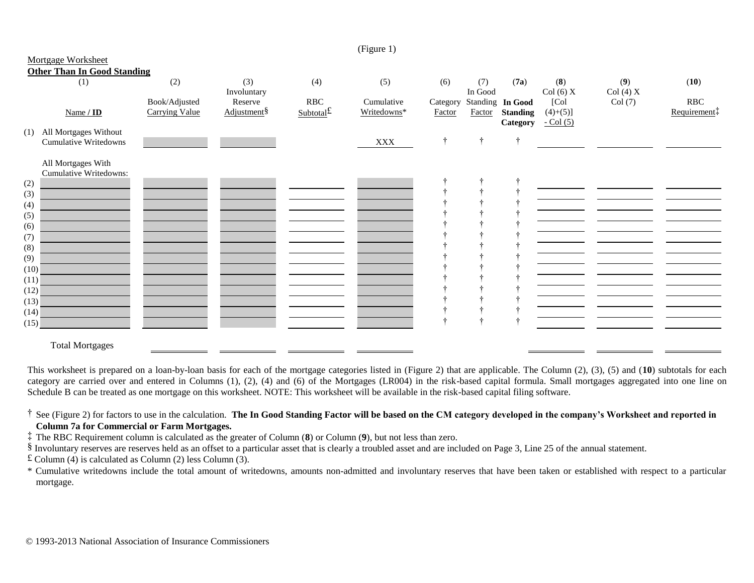|      |                                    |                       |                         |              | (1.5cm)     |               |         |                  |               |         |                          |
|------|------------------------------------|-----------------------|-------------------------|--------------|-------------|---------------|---------|------------------|---------------|---------|--------------------------|
|      | Mortgage Worksheet                 |                       |                         |              |             |               |         |                  |               |         |                          |
|      | <b>Other Than In Good Standing</b> |                       |                         |              |             |               |         |                  |               |         |                          |
|      |                                    |                       |                         |              |             |               |         |                  |               |         |                          |
|      | (1)                                | (2)                   | (3)                     | (4)          | (5)         | (6)           | (7)     | (7a)             | (8)           | (9)     | (10)                     |
|      |                                    |                       | Involuntary             |              |             |               | In Good |                  | Col(6)X       | Col(4)X |                          |
|      |                                    | Book/Adjusted         | Reserve                 | <b>RBC</b>   | Cumulative  | Category      |         | Standing In Good | [Col]         | Col(7)  | <b>RBC</b>               |
|      | Name / ID                          | <b>Carrying Value</b> | Adjustment <sup>§</sup> | $Subtotal$ £ | Writedowns* | Factor        | Factor  | <b>Standing</b>  |               |         | Requirement <sup>†</sup> |
|      |                                    |                       |                         |              |             |               |         |                  | $(4)+(5)$ ]   |         |                          |
|      |                                    |                       |                         |              |             |               |         | Category         | $-$ Col $(5)$ |         |                          |
| (1)  | All Mortgages Without              |                       |                         |              |             |               |         |                  |               |         |                          |
|      | <b>Cumulative Writedowns</b>       |                       |                         |              | <b>XXX</b>  | $\ddot{\tau}$ | ÷       | $\ddot{\tau}$    |               |         |                          |
|      |                                    |                       |                         |              |             |               |         |                  |               |         |                          |
|      | All Mortgages With                 |                       |                         |              |             |               |         |                  |               |         |                          |
|      |                                    |                       |                         |              |             |               |         |                  |               |         |                          |
|      | Cumulative Writedowns:             |                       |                         |              |             |               |         |                  |               |         |                          |
| (2)  |                                    |                       |                         |              |             |               |         |                  |               |         |                          |
| (3)  |                                    |                       |                         |              |             |               |         |                  |               |         |                          |
| (4)  |                                    |                       |                         |              |             |               |         |                  |               |         |                          |
|      |                                    |                       |                         |              |             |               |         |                  |               |         |                          |
| (5)  |                                    |                       |                         |              |             |               |         |                  |               |         |                          |
| (6)  |                                    |                       |                         |              |             |               |         |                  |               |         |                          |
| (7)  |                                    |                       |                         |              |             |               |         |                  |               |         |                          |
| (8)  |                                    |                       |                         |              |             |               |         |                  |               |         |                          |
|      |                                    |                       |                         |              |             |               |         |                  |               |         |                          |
| (9)  |                                    |                       |                         |              |             |               |         |                  |               |         |                          |
| (10) |                                    |                       |                         |              |             |               |         |                  |               |         |                          |
| (11) |                                    |                       |                         |              |             |               |         |                  |               |         |                          |
| (12) |                                    |                       |                         |              |             |               |         |                  |               |         |                          |
| (13) |                                    |                       |                         |              |             |               |         |                  |               |         |                          |
|      |                                    |                       |                         |              |             |               |         |                  |               |         |                          |
| (14) |                                    |                       |                         |              |             |               |         |                  |               |         |                          |
| (15) |                                    |                       |                         |              |             |               |         |                  |               |         |                          |
|      |                                    |                       |                         |              |             |               |         |                  |               |         |                          |
|      |                                    |                       |                         |              |             |               |         |                  |               |         |                          |
|      | <b>Total Mortgages</b>             |                       |                         |              |             |               |         |                  |               |         |                          |

 $(Fionre 1)$ 

This worksheet is prepared on a loan-by-loan basis for each of the mortgage categories listed in (Figure 2) that are applicable. The Column (2), (3), (5) and (**10**) subtotals for each category are carried over and entered in Columns (1), (2), (4) and (6) of the Mortgages (LR004) in the risk-based capital formula. Small mortgages aggregated into one line on Schedule B can be treated as one mortgage on this worksheet. NOTE: This worksheet will be available in the risk-based capital filing software.

† See (Figure 2) for factors to use in the calculation. **The In Good Standing Factor will be based on the CM category developed in the company's Worksheet and reported in Column 7a for Commercial or Farm Mortgages.**

‡ The RBC Requirement column is calculated as the greater of Column (**8**) or Column (**9**), but not less than zero.

§ Involuntary reserves are reserves held as an offset to a particular asset that is clearly a troubled asset and are included on Page 3, Line 25 of the annual statement.

£ Column (4) is calculated as Column (2) less Column (3).

\* Cumulative writedowns include the total amount of writedowns, amounts non-admitted and involuntary reserves that have been taken or established with respect to a particular mortgage.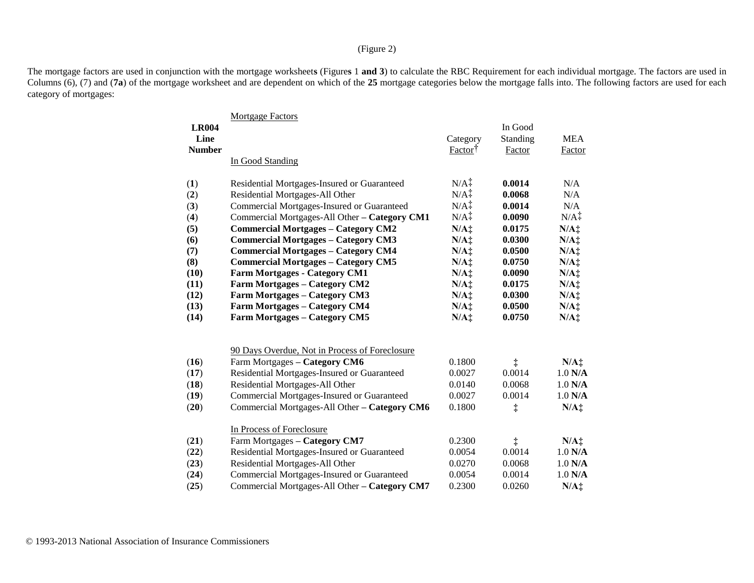## (Figure 2)

The mortgage factors are used in conjunction with the mortgage worksheet**s** (Figure**s** 1 **and 3**) to calculate the RBC Requirement for each individual mortgage. The factors are used in Columns (6), (7) and (**7a**) of the mortgage worksheet and are dependent on which of the 25 mortgage categories below the mortgage falls into. The following factors are used for each category of mortgages:

|               | <b>Mortgage Factors</b>                        |                  |            |                  |
|---------------|------------------------------------------------|------------------|------------|------------------|
| <b>LR004</b>  |                                                |                  | In Good    |                  |
| Line          |                                                | Category         | Standing   | <b>MEA</b>       |
| <b>Number</b> |                                                | Factor           | Factor     | Factor           |
|               | In Good Standing                               |                  |            |                  |
| (1)           | Residential Mortgages-Insured or Guaranteed    | $N/A+$           | 0.0014     | N/A              |
| (2)           | Residential Mortgages-All Other                | $N/A^{\dagger}$  | 0.0068     | N/A              |
| (3)           | Commercial Mortgages-Insured or Guaranteed     | $N/A^{\ddagger}$ | 0.0014     | N/A              |
| (4)           | Commercial Mortgages-All Other - Category CM1  | N/A <sup>†</sup> | 0.0090     | $N/A^{\dagger}$  |
| (5)           | <b>Commercial Mortgages - Category CM2</b>     | $N/A$ :          | 0.0175     | $N/A$ ‡          |
| (6)           | <b>Commercial Mortgages - Category CM3</b>     | $N/A$ ‡          | 0.0300     | $N/A$ ‡          |
| (7)           | <b>Commercial Mortgages - Category CM4</b>     | $N/A$ ‡          | 0.0500     | $N/A$ ‡          |
| (8)           | <b>Commercial Mortgages - Category CM5</b>     | $N/A$ ‡          | 0.0750     | $N/A$ ‡          |
| (10)          | <b>Farm Mortgages - Category CM1</b>           | $N/A$ ‡          | 0.0090     | $N/A$ ‡          |
| (11)          | <b>Farm Mortgages - Category CM2</b>           | $N/A$ ‡          | 0.0175     | $N/A$ :          |
| (12)          | <b>Farm Mortgages - Category CM3</b>           | $N/A$ ‡          | 0.0300     | $N/A$ :          |
| (13)          | <b>Farm Mortgages - Category CM4</b>           | $N/A$ :          | 0.0500     | $N/A$ :          |
| (14)          | <b>Farm Mortgages - Category CM5</b>           | $N/A$ ‡          | 0.0750     | $N/A$ :          |
|               | 90 Days Overdue, Not in Process of Foreclosure |                  |            |                  |
| (16)          | Farm Mortgages - Category CM6                  | 0.1800           | $\ddagger$ | $N/A$ :          |
| (17)          | Residential Mortgages-Insured or Guaranteed    | 0.0027           | 0.0014     | $1.0$ N/A        |
| (18)          | Residential Mortgages-All Other                | 0.0140           | 0.0068     | $1.0$ N/A        |
| (19)          | Commercial Mortgages-Insured or Guaranteed     | 0.0027           | 0.0014     | $1.0$ N/A        |
| (20)          | Commercial Mortgages-All Other - Category CM6  | 0.1800           | ţ          | $N/A$ :          |
|               |                                                |                  |            |                  |
|               | In Process of Foreclosure                      |                  |            |                  |
| (21)          | Farm Mortgages - Category CM7                  | 0.2300           | $\ddagger$ | $N/A$ :          |
| (22)          | Residential Mortgages-Insured or Guaranteed    | 0.0054           | 0.0014     | $1.0$ N/A        |
| (23)          | Residential Mortgages-All Other                | 0.0270           | 0.0068     | $1.0$ N/A        |
| (24)          | Commercial Mortgages-Insured or Guaranteed     | 0.0054           | 0.0014     | $1.0$ N/A        |
| (25)          | Commercial Mortgages-All Other - Category CM7  | 0.2300           | 0.0260     | N/A <sub>1</sub> |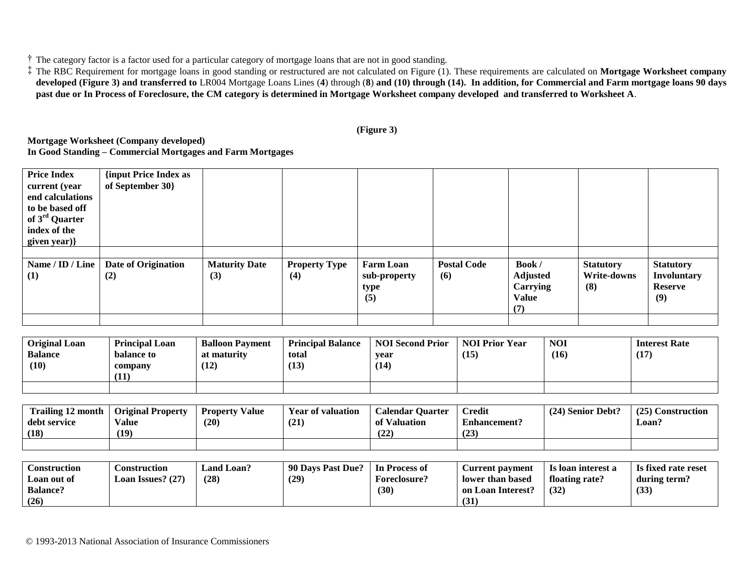† The category factor is a factor used for a particular category of mortgage loans that are not in good standing.

‡ The RBC Requirement for mortgage loans in good standing or restructured are not calculated on Figure (1). These requirements are calculated on **Mortgage Worksheet company developed (Figure 3) and transferred to** LR004 Mortgage Loans Lines (**4**) through (**8**) **and (10) through (14). In addition, for Commercial and Farm mortgage loans 90 days past due or In Process of Foreclosure, the CM category is determined in Mortgage Worksheet company developed and transferred to Worksheet A**.

## **(Figure 3)**

**Mortgage Worksheet (Company developed) In Good Standing – Commercial Mortgages and Farm Mortgages**

| <b>Price Index</b><br>current (year<br>end calculations<br>to be based off<br>of 3 <sup>rd</sup> Quarter<br>index of the | {input Price Index as<br>of September 30} |                             |                             |                                                 |                           |                                                             |                                        |                                                                 |
|--------------------------------------------------------------------------------------------------------------------------|-------------------------------------------|-----------------------------|-----------------------------|-------------------------------------------------|---------------------------|-------------------------------------------------------------|----------------------------------------|-----------------------------------------------------------------|
| given year)}                                                                                                             |                                           |                             |                             |                                                 |                           |                                                             |                                        |                                                                 |
|                                                                                                                          |                                           |                             |                             |                                                 |                           |                                                             |                                        |                                                                 |
| Name / ID / Line<br>(1)                                                                                                  | Date of Origination<br>(2)                | <b>Maturity Date</b><br>(3) | <b>Property Type</b><br>(4) | <b>Farm Loan</b><br>sub-property<br>type<br>(5) | <b>Postal Code</b><br>(6) | Book/<br><b>Adjusted</b><br>Carrying<br><b>Value</b><br>(7) | <b>Statutory</b><br>Write-downs<br>(8) | <b>Statutory</b><br><b>Involuntary</b><br><b>Reserve</b><br>(9) |
|                                                                                                                          |                                           |                             |                             |                                                 |                           |                                                             |                                        |                                                                 |

| <b>Original Loan</b><br><b>Balance</b><br>(10) | <b>Principal Loan</b><br>balance to<br>company<br>(11) | <b>Balloon Payment</b><br>at maturity<br>(12) | <b>Principal Balance</b><br>total<br>(13) | <b>NOI Second Prior</b><br>vear<br>(14) | <b>NOI Prior Year</b><br>(15) | <b>NOI</b><br>(16) | <b>Interest Rate</b><br>(17) |
|------------------------------------------------|--------------------------------------------------------|-----------------------------------------------|-------------------------------------------|-----------------------------------------|-------------------------------|--------------------|------------------------------|
|                                                |                                                        |                                               |                                           |                                         |                               |                    |                              |

| <b>Trailing 12 month</b> | <b>Original Property</b> | <b>Property Value</b> | <b>Year of valuation</b> | <b>Calendar Quarter</b> | <b>Credit</b>       | (24) Senior Debt? | (25) Construction |
|--------------------------|--------------------------|-----------------------|--------------------------|-------------------------|---------------------|-------------------|-------------------|
| debt service             | Value                    | (20)                  | (21)                     | of Valuation            | <b>Enhancement?</b> |                   | Loan'.            |
| (18)                     | (19)                     |                       |                          | (22)                    | (23)                |                   |                   |
|                          |                          |                       |                          |                         |                     |                   |                   |

| Construction    | <b>Construction</b> | $\boldsymbol{\llcorner}$ and $\boldsymbol{\llcorner}$ oan? | 90 Davs Past Due? | In Process of       | <b>Current payment</b> | Is loan interest a | Is fixed rate reset |
|-----------------|---------------------|------------------------------------------------------------|-------------------|---------------------|------------------------|--------------------|---------------------|
| Loan out of     | Loan Issues? $(27)$ | (28)                                                       | (29)              | <b>Foreclosure?</b> | lower than based       | floating rate?     | during term?        |
| <b>Balance?</b> |                     |                                                            |                   | (30)                | on Loan Interest?      | (32)               | (33)                |
| (26)            |                     |                                                            |                   |                     | (31)                   |                    |                     |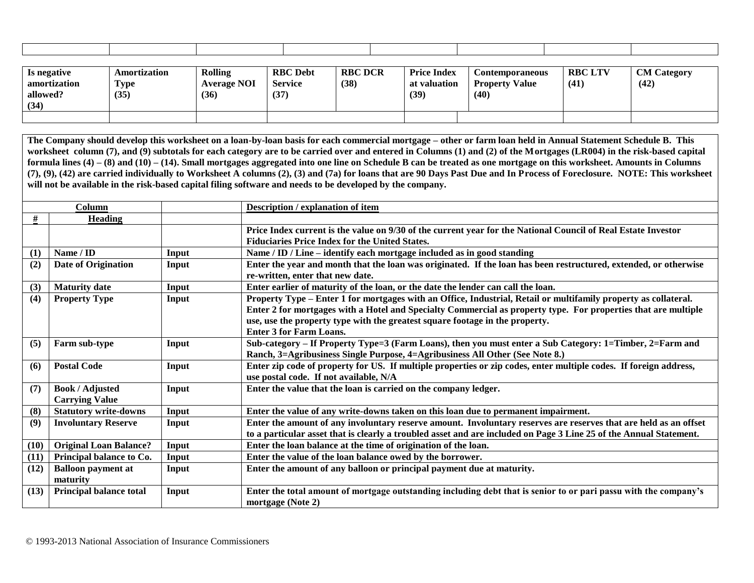| Is negative<br>amortization<br>allowed? | Amortization<br><b>FR3</b><br>l ype<br>(35) | Rolling<br><b>Average NOI</b><br>(36) | <b>RBC</b> Debt<br>Service<br>(37) | <b>RBC DCR</b><br>(38) | <b>Price Index</b><br>at valuation<br>(39) | <b>Contemporaneous</b><br>Value<br><b>Property</b><br>(40) | <b>RBC LTV</b><br>(41) | <b>CM</b> Category<br>(42) |
|-----------------------------------------|---------------------------------------------|---------------------------------------|------------------------------------|------------------------|--------------------------------------------|------------------------------------------------------------|------------------------|----------------------------|
| (34)                                    |                                             |                                       |                                    |                        |                                            |                                                            |                        |                            |
|                                         |                                             |                                       |                                    |                        |                                            |                                                            |                        |                            |

**The Company should develop this worksheet on a loan-by-loan basis for each commercial mortgage – other or farm loan held in Annual Statement Schedule B. This**  worksheet column (7), and (9) subtotals for each category are to be carried over and entered in Columns (1) and (2) of the Mortgages (LR004) in the risk-based capital **formula lines (4) – (8) and (10) – (14). Small mortgages aggregated into one line on Schedule B can be treated as one mortgage on this worksheet. Amounts in Columns (7), (9), (42) are carried individually to Worksheet A columns (2), (3) and (7a) for loans that are 90 Days Past Due and In Process of Foreclosure. NOTE: This worksheet will not be available in the risk-based capital filing software and needs to be developed by the company.**

|                   | Column                         |       | Description / explanation of item                                                                                                                                      |
|-------------------|--------------------------------|-------|------------------------------------------------------------------------------------------------------------------------------------------------------------------------|
| #                 | <b>Heading</b>                 |       |                                                                                                                                                                        |
|                   |                                |       | Price Index current is the value on 9/30 of the current year for the National Council of Real Estate Investor<br><b>Fiduciaries Price Index for the United States.</b> |
| $\left( 1\right)$ | Name / ID                      | Input | Name / ID / Line – identify each mortgage included as in good standing                                                                                                 |
| (2)               | <b>Date of Origination</b>     | Input | Enter the year and month that the loan was originated. If the loan has been restructured, extended, or otherwise<br>re-written, enter that new date.                   |
| (3)               | <b>Maturity date</b>           | Input | Enter earlier of maturity of the loan, or the date the lender can call the loan.                                                                                       |
| (4)               | <b>Property Type</b>           | Input | Property Type – Enter 1 for mortgages with an Office, Industrial, Retail or multifamily property as collateral.                                                        |
|                   |                                |       | Enter 2 for mortgages with a Hotel and Specialty Commercial as property type. For properties that are multiple                                                         |
|                   |                                |       | use, use the property type with the greatest square footage in the property.                                                                                           |
|                   |                                |       | <b>Enter 3 for Farm Loans.</b>                                                                                                                                         |
| (5)               | Farm sub-type                  | Input | Sub-category – If Property Type=3 (Farm Loans), then you must enter a Sub Category: 1=Timber, 2=Farm and                                                               |
|                   |                                |       | Ranch, 3=Agribusiness Single Purpose, 4=Agribusiness All Other (See Note 8.)                                                                                           |
| (6)               | <b>Postal Code</b>             | Input | Enter zip code of property for US. If multiple properties or zip codes, enter multiple codes. If foreign address,                                                      |
|                   |                                |       | use postal code. If not available, N/A                                                                                                                                 |
| (7)               | <b>Book / Adjusted</b>         | Input | Enter the value that the loan is carried on the company ledger.                                                                                                        |
|                   | <b>Carrying Value</b>          |       |                                                                                                                                                                        |
| (8)               | <b>Statutory write-downs</b>   | Input | Enter the value of any write-downs taken on this loan due to permanent impairment.                                                                                     |
| (9)               | <b>Involuntary Reserve</b>     | Input | Enter the amount of any involuntary reserve amount. Involuntary reserves are reserves that are held as an offset                                                       |
|                   |                                |       | to a particular asset that is clearly a troubled asset and are included on Page 3 Line 25 of the Annual Statement.                                                     |
| (10)              | <b>Original Loan Balance?</b>  | Input | Enter the loan balance at the time of origination of the loan.                                                                                                         |
| (11)              | Principal balance to Co.       | Input | Enter the value of the loan balance owed by the borrower.                                                                                                              |
| (12)              | <b>Balloon payment at</b>      | Input | Enter the amount of any balloon or principal payment due at maturity.                                                                                                  |
|                   | maturity                       |       |                                                                                                                                                                        |
| (13)              | <b>Principal balance total</b> | Input | Enter the total amount of mortgage outstanding including debt that is senior to or pari passu with the company's<br>mortgage (Note 2)                                  |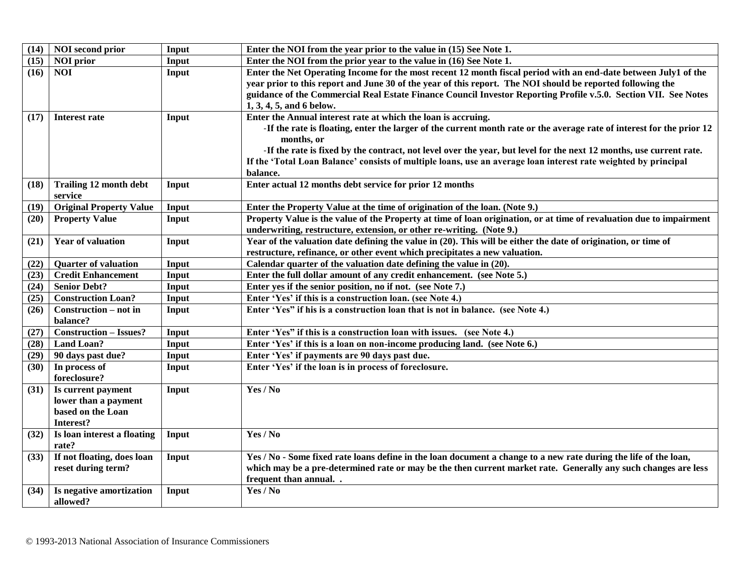| (14) | <b>NOI</b> second prior                                                      | Input | Enter the NOI from the year prior to the value in (15) See Note 1.                                                                                                                                                                                                                                                                                                                                                                                         |
|------|------------------------------------------------------------------------------|-------|------------------------------------------------------------------------------------------------------------------------------------------------------------------------------------------------------------------------------------------------------------------------------------------------------------------------------------------------------------------------------------------------------------------------------------------------------------|
| (15) | <b>NOI</b> prior                                                             | Input | Enter the NOI from the prior year to the value in (16) See Note 1.                                                                                                                                                                                                                                                                                                                                                                                         |
| (16) | <b>NOI</b>                                                                   | Input | Enter the Net Operating Income for the most recent 12 month fiscal period with an end-date between July1 of the<br>year prior to this report and June 30 of the year of this report. The NOI should be reported following the<br>guidance of the Commercial Real Estate Finance Council Investor Reporting Profile v.5.0. Section VII. See Notes<br>1, 3, 4, 5, and 6 below.                                                                               |
| (17) | <b>Interest rate</b>                                                         | Input | Enter the Annual interest rate at which the loan is accruing.<br>-If the rate is floating, enter the larger of the current month rate or the average rate of interest for the prior 12<br>months, or<br>-If the rate is fixed by the contract, not level over the year, but level for the next 12 months, use current rate.<br>If the 'Total Loan Balance' consists of multiple loans, use an average loan interest rate weighted by principal<br>balance. |
| (18) | <b>Trailing 12 month debt</b><br>service                                     | Input | Enter actual 12 months debt service for prior 12 months                                                                                                                                                                                                                                                                                                                                                                                                    |
| (19) | <b>Original Property Value</b>                                               | Input | Enter the Property Value at the time of origination of the loan. (Note 9.)                                                                                                                                                                                                                                                                                                                                                                                 |
| (20) | <b>Property Value</b>                                                        | Input | Property Value is the value of the Property at time of loan origination, or at time of revaluation due to impairment<br>underwriting, restructure, extension, or other re-writing. (Note 9.)                                                                                                                                                                                                                                                               |
| (21) | <b>Year of valuation</b>                                                     | Input | Year of the valuation date defining the value in (20). This will be either the date of origination, or time of<br>restructure, refinance, or other event which precipitates a new valuation.                                                                                                                                                                                                                                                               |
| (22) | <b>Quarter of valuation</b>                                                  | Input | Calendar quarter of the valuation date defining the value in (20).                                                                                                                                                                                                                                                                                                                                                                                         |
| (23) | <b>Credit Enhancement</b>                                                    | Input | Enter the full dollar amount of any credit enhancement. (see Note 5.)                                                                                                                                                                                                                                                                                                                                                                                      |
| (24) | <b>Senior Debt?</b>                                                          | Input | Enter yes if the senior position, no if not. (see Note 7.)                                                                                                                                                                                                                                                                                                                                                                                                 |
| (25) | <b>Construction Loan?</b>                                                    | Input | Enter 'Yes' if this is a construction loan. (see Note 4.)                                                                                                                                                                                                                                                                                                                                                                                                  |
| (26) | Construction – not in<br>balance?                                            | Input | Enter 'Yes" if his is a construction loan that is not in balance. (see Note 4.)                                                                                                                                                                                                                                                                                                                                                                            |
| (27) | <b>Construction - Issues?</b>                                                | Input | Enter 'Yes" if this is a construction loan with issues. (see Note 4.)                                                                                                                                                                                                                                                                                                                                                                                      |
| (28) | <b>Land Loan?</b>                                                            | Input | Enter 'Yes' if this is a loan on non-income producing land. (see Note 6.)                                                                                                                                                                                                                                                                                                                                                                                  |
| (29) | 90 days past due?                                                            | Input | Enter 'Yes' if payments are 90 days past due.                                                                                                                                                                                                                                                                                                                                                                                                              |
| (30) | In process of<br>foreclosure?                                                | Input | Enter 'Yes' if the loan is in process of foreclosure.                                                                                                                                                                                                                                                                                                                                                                                                      |
| (31) | Is current payment<br>lower than a payment<br>based on the Loan<br>Interest? | Input | Yes / No                                                                                                                                                                                                                                                                                                                                                                                                                                                   |
| (32) | Is loan interest a floating<br>rate?                                         | Input | Yes / No                                                                                                                                                                                                                                                                                                                                                                                                                                                   |
| (33) | If not floating, does loan<br>reset during term?                             | Input | Yes / No - Some fixed rate loans define in the loan document a change to a new rate during the life of the loan,<br>which may be a pre-determined rate or may be the then current market rate. Generally any such changes are less<br>frequent than annual                                                                                                                                                                                                 |
| (34) | Is negative amortization<br>allowed?                                         | Input | Yes / No                                                                                                                                                                                                                                                                                                                                                                                                                                                   |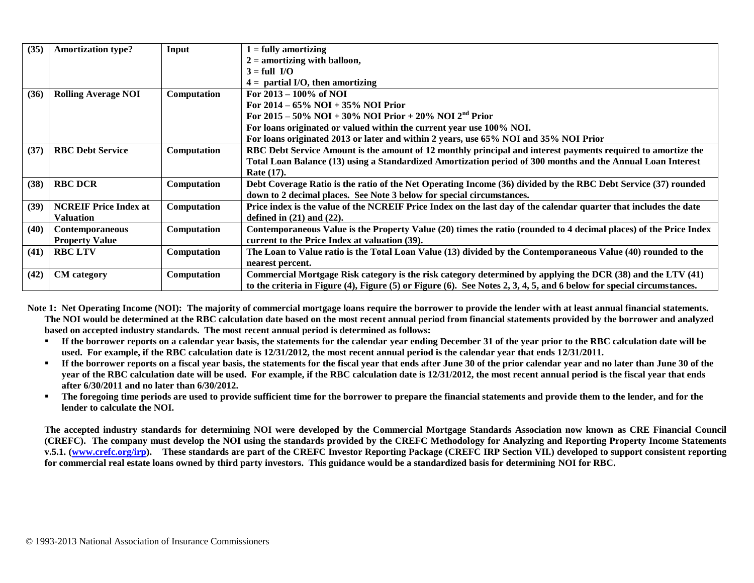| (35) | <b>Amortization type?</b>    | Input              | $1 =$ fully amortizing                                                                                                |
|------|------------------------------|--------------------|-----------------------------------------------------------------------------------------------------------------------|
|      |                              |                    | $2 =$ amortizing with balloon,                                                                                        |
|      |                              |                    | $3 = full I/O$                                                                                                        |
|      |                              |                    | $4 =$ partial I/O, then amortizing                                                                                    |
| (36) | <b>Rolling Average NOI</b>   | Computation        | For $2013 - 100\%$ of NOI                                                                                             |
|      |                              |                    | For $2014 - 65\%$ NOI + 35% NOI Prior                                                                                 |
|      |                              |                    | For 2015 – 50% NOI + 30% NOI Prior + 20% NOI 2 <sup>nd</sup> Prior                                                    |
|      |                              |                    | For loans originated or valued within the current year use 100% NOI.                                                  |
|      |                              |                    | For loans originated 2013 or later and within 2 years, use 65% NOI and 35% NOI Prior                                  |
| (37) | <b>RBC Debt Service</b>      | Computation        | RBC Debt Service Amount is the amount of 12 monthly principal and interest payments required to amortize the          |
|      |                              |                    | Total Loan Balance (13) using a Standardized Amortization period of 300 months and the Annual Loan Interest           |
|      |                              |                    | Rate (17).                                                                                                            |
| (38) | <b>RBC DCR</b>               | <b>Computation</b> | Debt Coverage Ratio is the ratio of the Net Operating Income (36) divided by the RBC Debt Service (37) rounded        |
|      |                              |                    | down to 2 decimal places. See Note 3 below for special circumstances.                                                 |
| (39) | <b>NCREIF Price Index at</b> | Computation        | Price index is the value of the NCREIF Price Index on the last day of the calendar quarter that includes the date     |
|      | <b>Valuation</b>             |                    | defined in $(21)$ and $(22)$ .                                                                                        |
| (40) | <b>Contemporaneous</b>       | Computation        | Contemporaneous Value is the Property Value (20) times the ratio (rounded to 4 decimal places) of the Price Index     |
|      | <b>Property Value</b>        |                    | current to the Price Index at valuation (39).                                                                         |
| (41) | <b>RBC LTV</b>               | Computation        | The Loan to Value ratio is the Total Loan Value (13) divided by the Contemporaneous Value (40) rounded to the         |
|      |                              |                    | nearest percent.                                                                                                      |
| (42) | <b>CM</b> category           | Computation        | Commercial Mortgage Risk category is the risk category determined by applying the DCR (38) and the LTV (41)           |
|      |                              |                    | to the criteria in Figure (4), Figure (5) or Figure (6). See Notes 2, 3, 4, 5, and 6 below for special circumstances. |

Note 1: Net Operating Income (NOI): The majority of commercial mortgage loans require the borrower to provide the lender with at least annual financial statements. **The NOI would be determined at the RBC calculation date based on the most recent annual period from financial statements provided by the borrower and analyzed based on accepted industry standards. The most recent annual period is determined as follows:**

- **If the borrower reports on a calendar year basis, the statements for the calendar year ending December 31 of the year prior to the RBC calculation date will be used. For example, if the RBC calculation date is 12/31/2012, the most recent annual period is the calendar year that ends 12/31/2011.**
- **If the borrower reports on a fiscal year basis, the statements for the fiscal year that ends after June 30 of the prior calendar year and no later than June 30 of the year of the RBC calculation date will be used. For example, if the RBC calculation date is 12/31/2012, the most recent annual period is the fiscal year that ends after 6/30/2011 and no later than 6/30/2012.**
- **The foregoing time periods are used to provide sufficient time for the borrower to prepare the financial statements and provide them to the lender, and for the lender to calculate the NOI.**

**The accepted industry standards for determining NOI were developed by the Commercial Mortgage Standards Association now known as CRE Financial Council (CREFC). The company must develop the NOI using the standards provided by the CREFC Methodology for Analyzing and Reporting Property Income Statements**  v.5.1. [\(www.crefc.org/irp\)](http://www.crefc.org/irp_). These standards are part of the CREFC Investor Reporting Package (CREFC IRP Section VII.) developed to support consistent reporting **for commercial real estate loans owned by third party investors. This guidance would be a standardized basis for determining NOI for RBC.**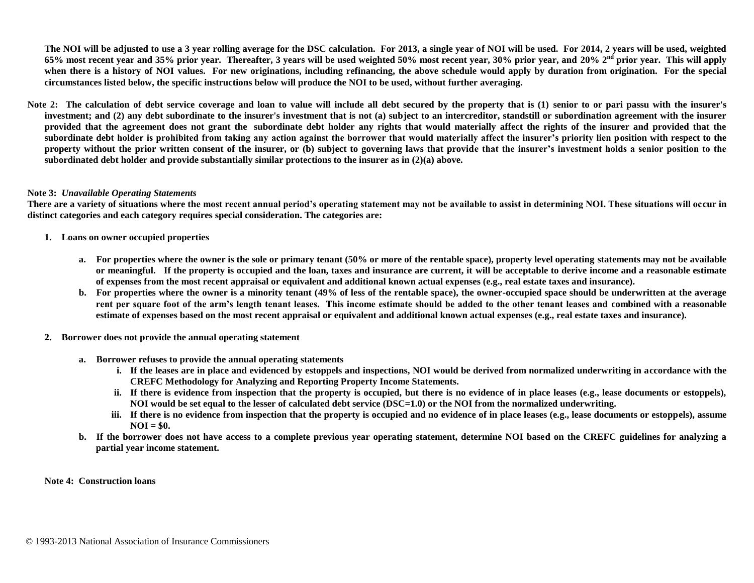**The NOI will be adjusted to use a 3 year rolling average for the DSC calculation. For 2013, a single year of NOI will be used. For 2014, 2 years will be used, weighted 65% most recent year and 35% prior year. Thereafter, 3 years will be used weighted 50% most recent year, 30% prior year, and 20% 2nd prior year. This will apply**  when there is a history of NOI values. For new originations, including refinancing, the above schedule would apply by duration from origination. For the special **circumstances listed below, the specific instructions below will produce the NOI to be used, without further averaging.** 

Note 2: The calculation of debt service coverage and loan to value will include all debt secured by the property that is (1) senior to or pari passu with the insurer's **investment; and (2) any debt subordinate to the insurer's investment that is not (a) subject to an intercreditor, standstill or subordination agreement with the insurer provided that the agreement does not grant the subordinate debt holder any rights that would materially affect the rights of the insurer and provided that the subordinate debt holder is prohibited from taking any action against the borrower that would materially affect the insurer's priority lien position with respect to the property without the prior written consent of the insurer, or (b) subject to governing laws that provide that the insurer's investment holds a senior position to the subordinated debt holder and provide substantially similar protections to the insurer as in (2)(a) above.** 

#### **Note 3:** *Unavailable Operating Statements*

**There are a variety of situations where the most recent annual period's operating statement may not be available to assist in determining NOI. These situations will occur in distinct categories and each category requires special consideration. The categories are:**

- **1. Loans on owner occupied properties**
	- **a. For properties where the owner is the sole or primary tenant (50% or more of the rentable space), property level operating statements may not be available or meaningful. If the property is occupied and the loan, taxes and insurance are current, it will be acceptable to derive income and a reasonable estimate of expenses from the most recent appraisal or equivalent and additional known actual expenses (e.g., real estate taxes and insurance).**
	- **b. For properties where the owner is a minority tenant (49% of less of the rentable space), the owner-occupied space should be underwritten at the average rent per square foot of the arm's length tenant leases. This income estimate should be added to the other tenant leases and combined with a reasonable estimate of expenses based on the most recent appraisal or equivalent and additional known actual expenses (e.g., real estate taxes and insurance).**
- **2. Borrower does not provide the annual operating statement**
	- **a. Borrower refuses to provide the annual operating statements**
		- **i. If the leases are in place and evidenced by estoppels and inspections, NOI would be derived from normalized underwriting in accordance with the CREFC Methodology for Analyzing and Reporting Property Income Statements.**
		- **ii. If there is evidence from inspection that the property is occupied, but there is no evidence of in place leases (e.g., lease documents or estoppels), NOI would be set equal to the lesser of calculated debt service (DSC=1.0) or the NOI from the normalized underwriting.**
		- **iii. If there is no evidence from inspection that the property is occupied and no evidence of in place leases (e.g., lease documents or estoppels), assume NOI = \$0.**
	- **b. If the borrower does not have access to a complete previous year operating statement, determine NOI based on the CREFC guidelines for analyzing a partial year income statement.**

**Note 4: Construction loans**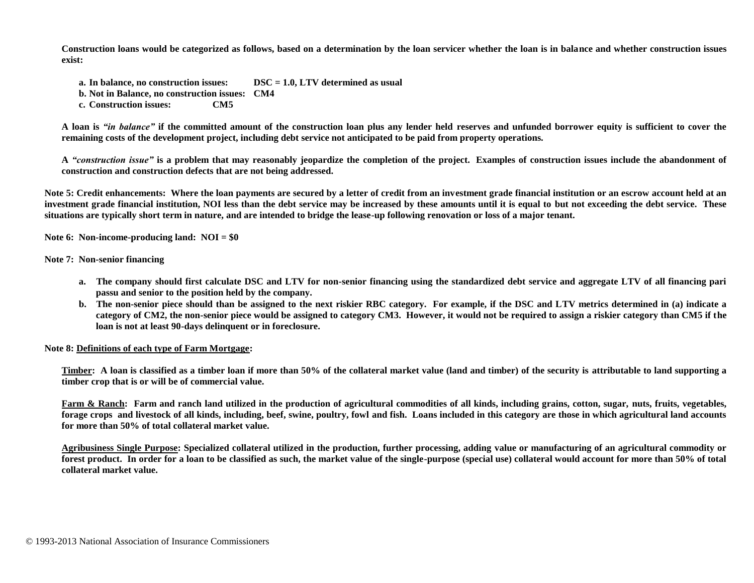**Construction loans would be categorized as follows, based on a determination by the loan servicer whether the loan is in balance and whether construction issues exist:**

- **a. In balance, no construction issues: DSC = 1.0, LTV determined as usual**
- **b. Not in Balance, no construction issues: CM4**
- **c. Construction issues: CM5**

**A loan is** *"in balance"* **if the committed amount of the construction loan plus any lender held reserves and unfunded borrower equity is sufficient to cover the remaining costs of the development project, including debt service not anticipated to be paid from property operations.**

**A** *"construction issue"* **is a problem that may reasonably jeopardize the completion of the project. Examples of construction issues include the abandonment of construction and construction defects that are not being addressed.**

Note 5: Credit enhancements: Where the loan payments are secured by a letter of credit from an investment grade financial institution or an escrow account held at an **investment grade financial institution, NOI less than the debt service may be increased by these amounts until it is equal to but not exceeding the debt service. These situations are typically short term in nature, and are intended to bridge the lease-up following renovation or loss of a major tenant.**

**Note 6: Non-income-producing land: NOI = \$0**

#### **Note 7: Non-senior financing**

- **a. The company should first calculate DSC and LTV for non-senior financing using the standardized debt service and aggregate LTV of all financing pari passu and senior to the position held by the company.**
- **b. The non-senior piece should than be assigned to the next riskier RBC category. For example, if the DSC and LTV metrics determined in (a) indicate a category of CM2, the non-senior piece would be assigned to category CM3. However, it would not be required to assign a riskier category than CM5 if the loan is not at least 90-days delinquent or in foreclosure.**

#### **Note 8: Definitions of each type of Farm Mortgage:**

**Timber: A loan is classified as a timber loan if more than 50% of the collateral market value (land and timber) of the security is attributable to land supporting a timber crop that is or will be of commercial value.** 

Farm & Ranch: Farm and ranch land utilized in the production of agricultural commodities of all kinds, including grains, cotton, sugar, nuts, fruits, vegetables, **forage crops and livestock of all kinds, including, beef, swine, poultry, fowl and fish. Loans included in this category are those in which agricultural land accounts for more than 50% of total collateral market value.** 

**Agribusiness Single Purpose: Specialized collateral utilized in the production, further processing, adding value or manufacturing of an agricultural commodity or forest product. In order for a loan to be classified as such, the market value of the single-purpose (special use) collateral would account for more than 50% of total collateral market value.**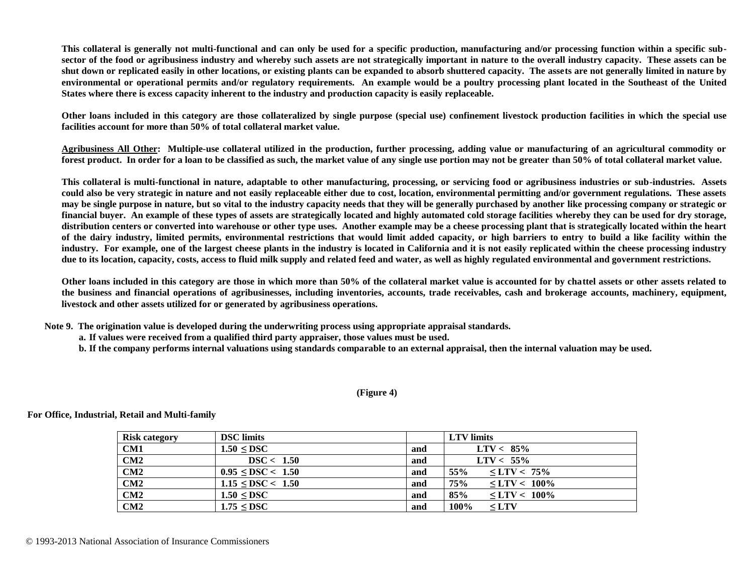**This collateral is generally not multi-functional and can only be used for a specific production, manufacturing and/or processing function within a specific subsector of the food or agribusiness industry and whereby such assets are not strategically important in nature to the overall industry capacity. These assets can be shut down or replicated easily in other locations, or existing plants can be expanded to absorb shuttered capacity. The assets are not generally limited in nature by environmental or operational permits and/or regulatory requirements. An example would be a poultry processing plant located in the Southeast of the United States where there is excess capacity inherent to the industry and production capacity is easily replaceable.** 

**Other loans included in this category are those collateralized by single purpose (special use) confinement livestock production facilities in which the special use facilities account for more than 50% of total collateral market value.** 

**Agribusiness All Other: Multiple-use collateral utilized in the production, further processing, adding value or manufacturing of an agricultural commodity or forest product. In order for a loan to be classified as such, the market value of any single use portion may not be greater than 50% of total collateral market value.** 

**This collateral is multi-functional in nature, adaptable to other manufacturing, processing, or servicing food or agribusiness industries or sub-industries. Assets could also be very strategic in nature and not easily replaceable either due to cost, location, environmental permitting and/or government regulations. These assets may be single purpose in nature, but so vital to the industry capacity needs that they will be generally purchased by another like processing company or strategic or financial buyer. An example of these types of assets are strategically located and highly automated cold storage facilities whereby they can be used for dry storage, distribution centers or converted into warehouse or other type uses. Another example may be a cheese processing plant that is strategically located within the heart of the dairy industry, limited permits, environmental restrictions that would limit added capacity, or high barriers to entry to build a like facility within the industry. For example, one of the largest cheese plants in the industry is located in California and it is not easily replicated within the cheese processing industry due to its location, capacity, costs, access to fluid milk supply and related feed and water, as well as highly regulated environmental and government restrictions.**

**Other loans included in this category are those in which more than 50% of the collateral market value is accounted for by chattel assets or other assets related to the business and financial operations of agribusinesses, including inventories, accounts, trade receivables, cash and brokerage accounts, machinery, equipment, livestock and other assets utilized for or generated by agribusiness operations.** 

**Note 9. The origination value is developed during the underwriting process using appropriate appraisal standards.**

- **a. If values were received from a qualified third party appraiser, those values must be used.**
- **b. If the company performs internal valuations using standards comparable to an external appraisal, then the internal valuation may be used.**

#### **(Figure 4)**

**Risk category DSC limits LTV limits CM1 1.50**  $\leq$  **DSC** and  $\leq$  **LTV** < 85% **CM2 DSC < 1.50 and LTV < 55% CM2 d**  $0.95 \leq DSC < 1.50$  **and**  $55\% \leq LTV < 75\%$ **CM2 1.15**  $\leq$  DSC < **1.50 and 75%**  $\leq$  LTV < 100% **CM2 1.50 ≤ DSC and 85% ≤ LTV < 100% CM2 1.75**  $\leq$  **DSC and 100%**  $\leq$  **LTV** 

**For Office, Industrial, Retail and Multi-family**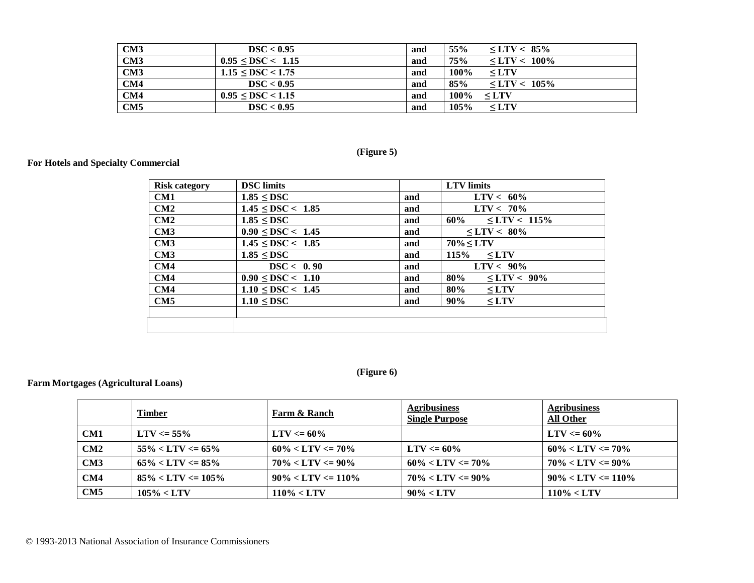| CM3 | DSC < 0.95                  | and | 55%<br>$\text{C}$ C $\text{LTV}$ $\leq$ 85% |
|-----|-----------------------------|-----|---------------------------------------------|
| CM3 | $0.95 \leq$ DSC $\leq 1.15$ | and | 75%<br>$\text{LTV}$ < 100%                  |
| CM3 | $1.15 \leq DSC \leq 1.75$   | and | 100%<br>$\leq$ LTV                          |
| CM4 | DSC < 0.95                  | and | 85%<br>$\text{C}$ = 105%                    |
| CM4 | $0.95 \leq DSC \leq 1.15$   | and | $100\% \le LTV$                             |
| CM5 | DSC < 0.95                  | and | $105\%$<br>$\leq$ LTV                       |

# **(Figure 5)**

## **For Hotels and Specialty Commercial**

| <b>Risk category</b> | <b>DSC</b> limits      |     | <b>LTV</b> limits                                                                                                                                                                                                                                                                                                         |
|----------------------|------------------------|-----|---------------------------------------------------------------------------------------------------------------------------------------------------------------------------------------------------------------------------------------------------------------------------------------------------------------------------|
| CM1                  | $1.85 \leq DSC$        | and | $LTV < 60\%$                                                                                                                                                                                                                                                                                                              |
| CM2                  | $1.45 \leq DSC < 1.85$ | and | $LTV < 70\%$                                                                                                                                                                                                                                                                                                              |
| CM2                  | $1.85 \leq DSC$        | and | $60\% \leq LTV < 115\%$                                                                                                                                                                                                                                                                                                   |
| CM3                  | $0.90 \leq$ DSC < 1.45 | and | $\text{C}$ = 1.7V < 80%                                                                                                                                                                                                                                                                                                   |
| CM3                  | $1.45 \leq DSC < 1.85$ | and | $70\% < LTV$                                                                                                                                                                                                                                                                                                              |
| CM3                  | $1.85 \leq DSC$        | and | $115\% \leq LTV$                                                                                                                                                                                                                                                                                                          |
| CM4                  | DSC < 0.90             | and | $LTV < 90\%$                                                                                                                                                                                                                                                                                                              |
| CM4                  | $0.90 \leq DSC < 1.10$ | and | 80%<br>$\text{C}$ $\text{C}$ $\text{C}$ $\text{C}$ $\text{C}$ $\text{C}$ $\text{C}$ $\text{C}$ $\text{C}$ $\text{C}$ $\text{C}$ $\text{C}$ $\text{C}$ $\text{C}$ $\text{C}$ $\text{C}$ $\text{C}$ $\text{C}$ $\text{C}$ $\text{C}$ $\text{C}$ $\text{C}$ $\text{C}$ $\text{C}$ $\text{C}$ $\text{C}$ $\text{C}$ $\text{C$ |
| CM4                  | $1.10 \leq DSC < 1.45$ | and | 80%<br>$\leq$ LTV                                                                                                                                                                                                                                                                                                         |
| CM5                  | $1.10 \leq DSC$        | and | 90%<br>$\leq$ LTV                                                                                                                                                                                                                                                                                                         |
|                      |                        |     |                                                                                                                                                                                                                                                                                                                           |
|                      |                        |     |                                                                                                                                                                                                                                                                                                                           |

## **(Figure 6)**

## **Farm Mortgages (Agricultural Loans)**

|     | <u>Timber</u>          | Farm & Ranch           | <b>Agribusiness</b><br><b>Single Purpose</b> | <b>Agribusiness</b><br><b>All Other</b> |
|-----|------------------------|------------------------|----------------------------------------------|-----------------------------------------|
| CM1 | $LTV \le 55\%$         | $LTV \le 60\%$         |                                              | $LTV \le 60\%$                          |
| CM2 | $55\% < LTV \le 65\%$  | $60\% < LTV \le 70\%$  | $LTV \le 60\%$                               | $60\% < LTV \le 70\%$                   |
| CM3 | $65\% < LTV \le 85\%$  | $70\% < LTV \le 90\%$  | $60\% < LTV \le 70\%$                        | $70\% < LTV \le 90\%$                   |
| CM4 | $85\% < LTV \le 105\%$ | $90\% < LTV \le 110\%$ | $70\% < LTV \le 90\%$                        | $90\% < LTV \le 110\%$                  |
| CM5 | $105\% < LTV$          | $110\% < LTV$          | $90\% < LTV$                                 | $110\% < LTV$                           |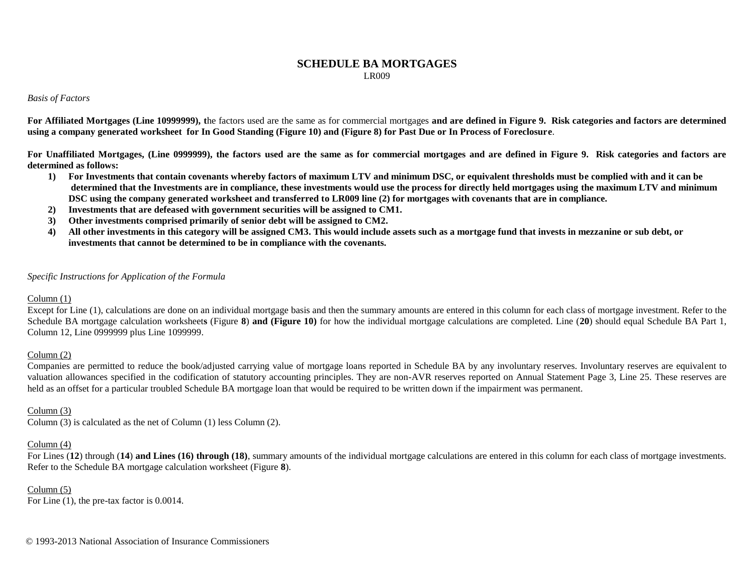#### **SCHEDULE BA MORTGAGES** LR009

#### *Basis of Factors*

**For Affiliated Mortgages (Line 10999999), t**he factors used are the same as for commercial mortgages **and are defined in Figure 9. Risk categories and factors are determined using a company generated worksheet for In Good Standing (Figure 10) and (Figure 8) for Past Due or In Process of Foreclosure**.

**For Unaffiliated Mortgages, (Line 0999999), the factors used are the same as for commercial mortgages and are defined in Figure 9. Risk categories and factors are determined as follows:**

- **1) For Investments that contain covenants whereby factors of maximum LTV and minimum DSC, or equivalent thresholds must be complied with and it can be determined that the Investments are in compliance, these investments would use the process for directly held mortgages using the maximum LTV and minimum DSC using the company generated worksheet and transferred to LR009 line (2) for mortgages with covenants that are in compliance.**
- **2) Investments that are defeased with government securities will be assigned to CM1.**
- **3) Other investments comprised primarily of senior debt will be assigned to CM2.**
- **4) All other investments in this category will be assigned CM3. This would include assets such as a mortgage fund that invests in mezzanine or sub debt, or investments that cannot be determined to be in compliance with the covenants.**

#### *Specific Instructions for Application of the Formula*

#### Column (1)

Except for Line (1), calculations are done on an individual mortgage basis and then the summary amounts are entered in this column for each class of mortgage investment. Refer to the Schedule BA mortgage calculation worksheet**s** (Figure **8**) **and (Figure 10)** for how the individual mortgage calculations are completed. Line (**20**) should equal Schedule BA Part 1, Column 12, Line 0999999 plus Line 1099999.

#### Column (2)

Companies are permitted to reduce the book/adjusted carrying value of mortgage loans reported in Schedule BA by any involuntary reserves. Involuntary reserves are equivalent to valuation allowances specified in the codification of statutory accounting principles. They are non-AVR reserves reported on Annual Statement Page 3, Line 25. These reserves are held as an offset for a particular troubled Schedule BA mortgage loan that would be required to be written down if the impairment was permanent.

#### Column (3)

Column (3) is calculated as the net of Column (1) less Column (2).

#### Column (4)

For Lines (12) through (14) **and Lines (16) through (18)**, summary amounts of the individual mortgage calculations are entered in this column for each class of mortgage investments. Refer to the Schedule BA mortgage calculation worksheet (Figure **8**).

#### Column (5)

For Line (1), the pre-tax factor is 0.0014.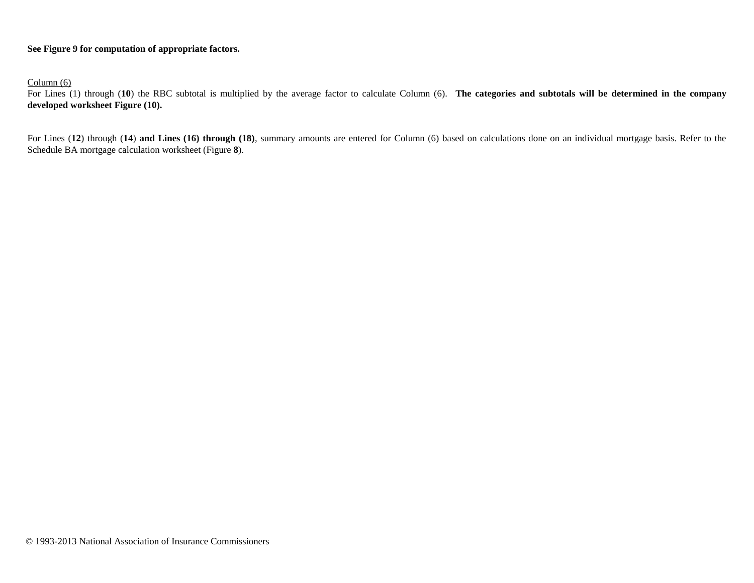## **See Figure 9 for computation of appropriate factors.**

Column (6)

For Lines (1) through (**10**) the RBC subtotal is multiplied by the average factor to calculate Column (6). **The categories and subtotals will be determined in the company developed worksheet Figure (10).**

For Lines (**12**) through (**14**) **and Lines (16) through (18)**, summary amounts are entered for Column (6) based on calculations done on an individual mortgage basis. Refer to the Schedule BA mortgage calculation worksheet (Figure **8**).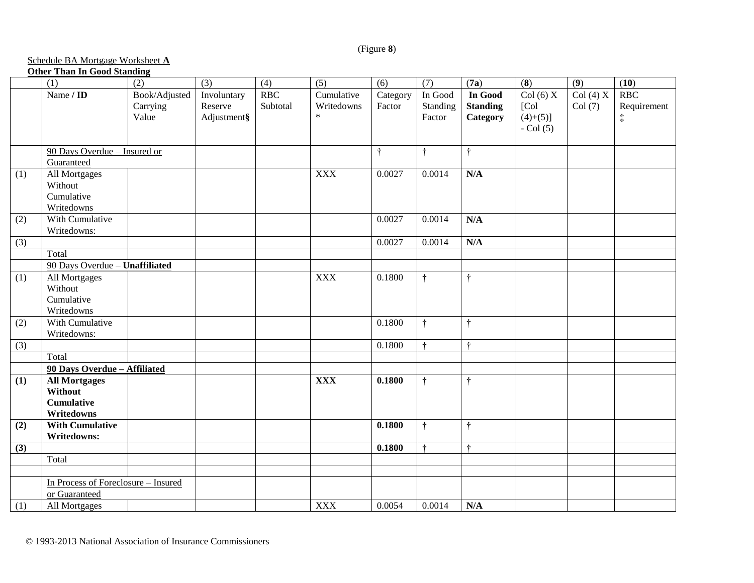## (Figure **8**)

# Schedule BA Mortgage Worksheet **A**

# **Other Than In Good Standing**

|     | (1)                                 | (2)           | (3)         | (4)      | (5)        | (6)       | (7)           | (7a)            | $\overline{\bf(8)}$    | (9)     | (10)        |
|-----|-------------------------------------|---------------|-------------|----------|------------|-----------|---------------|-----------------|------------------------|---------|-------------|
|     | Name / $ID$                         | Book/Adjusted | Involuntary | RBC      | Cumulative | Category  | In Good       | In Good         | Col (6) $\overline{X}$ | Col(4)X | RBC         |
|     |                                     | Carrying      | Reserve     | Subtotal | Writedowns | Factor    | Standing      | <b>Standing</b> | [Col]                  | Col(7)  | Requirement |
|     |                                     | Value         | Adjustment§ |          | $\ast$     |           | Factor        | Category        | $(4)+(5)$ ]            |         | $\ddagger$  |
|     |                                     |               |             |          |            |           |               |                 | $-$ Col $(5)$          |         |             |
|     |                                     |               |             |          |            |           |               |                 |                        |         |             |
|     | 90 Days Overdue - Insured or        |               |             |          |            | $\dagger$ | $\ddot{\tau}$ | $\ddot{\tau}$   |                        |         |             |
|     | Guaranteed                          |               |             |          |            |           |               |                 |                        |         |             |
| (1) | All Mortgages                       |               |             |          | <b>XXX</b> | 0.0027    | 0.0014        | N/A             |                        |         |             |
|     | Without                             |               |             |          |            |           |               |                 |                        |         |             |
|     | Cumulative                          |               |             |          |            |           |               |                 |                        |         |             |
|     | Writedowns                          |               |             |          |            |           |               |                 |                        |         |             |
| (2) | With Cumulative                     |               |             |          |            | 0.0027    | 0.0014        | N/A             |                        |         |             |
|     | Writedowns:                         |               |             |          |            |           |               |                 |                        |         |             |
| (3) |                                     |               |             |          |            | 0.0027    | 0.0014        | N/A             |                        |         |             |
|     | Total                               |               |             |          |            |           |               |                 |                        |         |             |
|     | 90 Days Overdue - Unaffiliated      |               |             |          |            |           |               |                 |                        |         |             |
| (1) | All Mortgages                       |               |             |          | <b>XXX</b> | 0.1800    | $\ddagger$    | $\ddagger$      |                        |         |             |
|     | Without                             |               |             |          |            |           |               |                 |                        |         |             |
|     | Cumulative                          |               |             |          |            |           |               |                 |                        |         |             |
|     | Writedowns                          |               |             |          |            |           |               |                 |                        |         |             |
| (2) | With Cumulative                     |               |             |          |            | 0.1800    | $\dagger$     | $\ddot{\tau}$   |                        |         |             |
|     | Writedowns:                         |               |             |          |            |           |               |                 |                        |         |             |
| (3) |                                     |               |             |          |            | 0.1800    | $\ddagger$    | $\ddot{\tau}$   |                        |         |             |
|     | Total                               |               |             |          |            |           |               |                 |                        |         |             |
|     | 90 Days Overdue - Affiliated        |               |             |          |            |           |               |                 |                        |         |             |
| (1) | <b>All Mortgages</b>                |               |             |          | <b>XXX</b> | 0.1800    | $\dagger$     | $\ddot{\tau}$   |                        |         |             |
|     | Without                             |               |             |          |            |           |               |                 |                        |         |             |
|     | <b>Cumulative</b>                   |               |             |          |            |           |               |                 |                        |         |             |
|     | Writedowns                          |               |             |          |            |           |               |                 |                        |         |             |
| (2) | <b>With Cumulative</b>              |               |             |          |            | 0.1800    | $\ddagger$    | $\ddot{\tau}$   |                        |         |             |
|     | Writedowns:                         |               |             |          |            |           |               |                 |                        |         |             |
| (3) |                                     |               |             |          |            | 0.1800    | $\ddot{\tau}$ | $\ddot{\tau}$   |                        |         |             |
|     | Total                               |               |             |          |            |           |               |                 |                        |         |             |
|     |                                     |               |             |          |            |           |               |                 |                        |         |             |
|     | In Process of Foreclosure - Insured |               |             |          |            |           |               |                 |                        |         |             |
|     | or Guaranteed                       |               |             |          |            |           |               |                 |                        |         |             |
| (1) | All Mortgages                       |               |             |          | <b>XXX</b> | 0.0054    | 0.0014        | N/A             |                        |         |             |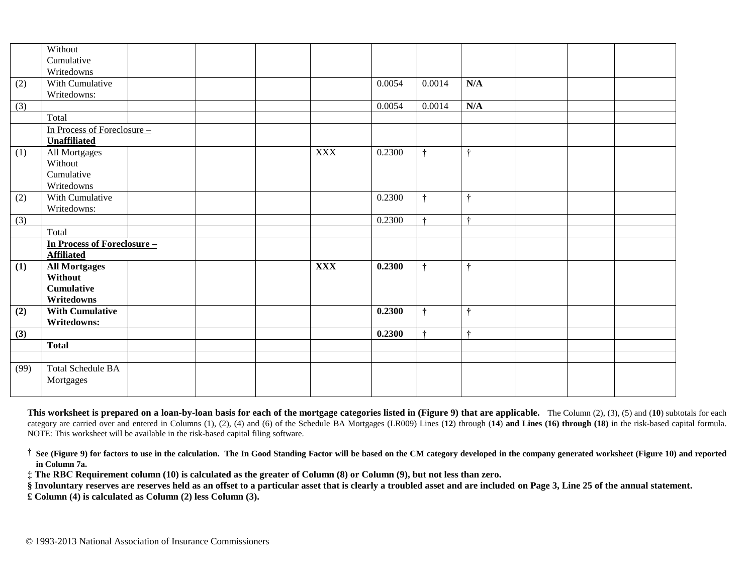|      | Without                            |  |            |        |               |               |  |  |
|------|------------------------------------|--|------------|--------|---------------|---------------|--|--|
|      | Cumulative                         |  |            |        |               |               |  |  |
|      | Writedowns                         |  |            |        |               |               |  |  |
| (2)  | With Cumulative                    |  |            | 0.0054 | 0.0014        | N/A           |  |  |
|      | Writedowns:                        |  |            |        |               |               |  |  |
| (3)  |                                    |  |            | 0.0054 | 0.0014        | N/A           |  |  |
|      | Total                              |  |            |        |               |               |  |  |
|      | In Process of Foreclosure -        |  |            |        |               |               |  |  |
|      | <b>Unaffiliated</b>                |  |            |        |               |               |  |  |
| (1)  | All Mortgages                      |  | <b>XXX</b> | 0.2300 | $\ddagger$    | $\ddot{\tau}$ |  |  |
|      | Without                            |  |            |        |               |               |  |  |
|      | Cumulative                         |  |            |        |               |               |  |  |
|      | Writedowns                         |  |            |        |               |               |  |  |
| (2)  | With Cumulative                    |  |            | 0.2300 | $\ddot{\tau}$ | ÷             |  |  |
|      | Writedowns:                        |  |            |        |               |               |  |  |
| (3)  |                                    |  |            | 0.2300 | $\ddot{\tau}$ | $\ddot{\tau}$ |  |  |
|      | Total                              |  |            |        |               |               |  |  |
|      | <b>In Process of Foreclosure -</b> |  |            |        |               |               |  |  |
|      | <b>Affiliated</b>                  |  |            |        |               |               |  |  |
| (1)  | <b>All Mortgages</b>               |  | <b>XXX</b> | 0.2300 | $\dagger$     | $\ddagger$    |  |  |
|      | Without                            |  |            |        |               |               |  |  |
|      | <b>Cumulative</b>                  |  |            |        |               |               |  |  |
|      | Writedowns                         |  |            |        |               |               |  |  |
| (2)  | <b>With Cumulative</b>             |  |            | 0.2300 | ÷             | $\ddot{\tau}$ |  |  |
|      | Writedowns:                        |  |            |        |               |               |  |  |
| (3)  |                                    |  |            | 0.2300 | $\ddot{\tau}$ | $\ddot{\tau}$ |  |  |
|      | <b>Total</b>                       |  |            |        |               |               |  |  |
|      |                                    |  |            |        |               |               |  |  |
| (99) | <b>Total Schedule BA</b>           |  |            |        |               |               |  |  |
|      | Mortgages                          |  |            |        |               |               |  |  |
|      |                                    |  |            |        |               |               |  |  |

**This worksheet is prepared on a loan-by-loan basis for each of the mortgage categories listed in (Figure 9) that are applicable.** The Column (2), (3), (5) and (**10**) subtotals for each category are carried over and entered in Columns (1), (2), (4) and (6) of the Schedule BA Mortgages (LR009) Lines (**12**) through (**14**) **and Lines (16) through (18)** in the risk-based capital formula. NOTE: This worksheet will be available in the risk-based capital filing software.

† **See (Figure 9) for factors to use in the calculation. The In Good Standing Factor will be based on the CM category developed in the company generated worksheet (Figure 10) and reported in Column 7a.**

**‡ The RBC Requirement column (10) is calculated as the greater of Column (8) or Column (9), but not less than zero.**

**§ Involuntary reserves are reserves held as an offset to a particular asset that is clearly a troubled asset and are included on Page 3, Line 25 of the annual statement.**

**£ Column (4) is calculated as Column (2) less Column (3).**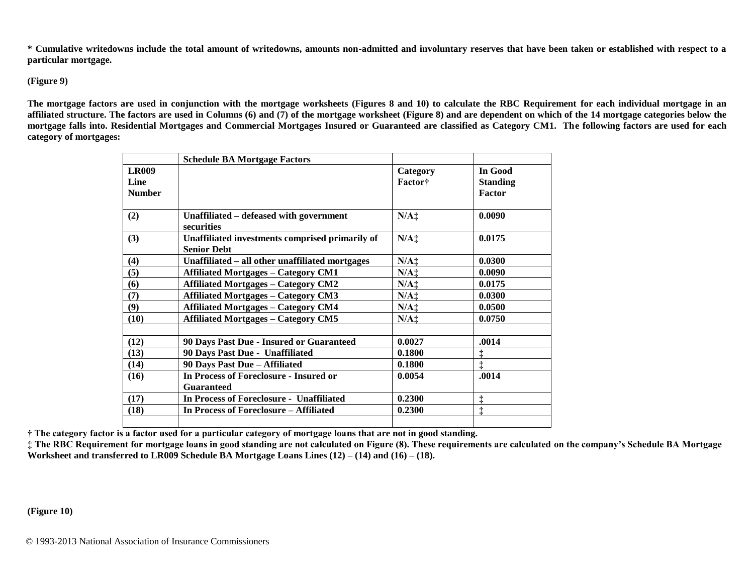**\* Cumulative writedowns include the total amount of writedowns, amounts non-admitted and involuntary reserves that have been taken or established with respect to a particular mortgage.**

#### **(Figure 9)**

**The mortgage factors are used in conjunction with the mortgage worksheets (Figures 8 and 10) to calculate the RBC Requirement for each individual mortgage in an affiliated structure. The factors are used in Columns (6) and (7) of the mortgage worksheet (Figure 8) and are dependent on which of the 14 mortgage categories below the mortgage falls into. Residential Mortgages and Commercial Mortgages Insured or Guaranteed are classified as Category CM1. The following factors are used for each category of mortgages:**

|               | <b>Schedule BA Mortgage Factors</b>                                   |                 |                 |
|---------------|-----------------------------------------------------------------------|-----------------|-----------------|
| <b>LR009</b>  |                                                                       | Category        | In Good         |
| Line          |                                                                       | <b>Factor</b> † | <b>Standing</b> |
| <b>Number</b> |                                                                       |                 | Factor          |
| (2)           | Unaffiliated – defeased with government<br>securities                 | $N/A$ :         | 0.0090          |
| (3)           | Unaffiliated investments comprised primarily of<br><b>Senior Debt</b> | $N/A$ :         | 0.0175          |
| (4)           | Unaffiliated – all other unaffiliated mortgages                       | $N/A$ :         | 0.0300          |
| (5)           | <b>Affiliated Mortgages - Category CM1</b>                            | $N/A$ ‡         | 0.0090          |
| (6)           | <b>Affiliated Mortgages - Category CM2</b>                            | $N/A$ ‡         | 0.0175          |
| (7)           | <b>Affiliated Mortgages - Category CM3</b>                            | $N/A$ :         | 0.0300          |
| (9)           | <b>Affiliated Mortgages - Category CM4</b>                            | $N/A$ :         | 0.0500          |
| (10)          | <b>Affiliated Mortgages - Category CM5</b>                            | $N/A$ :         | 0.0750          |
| (12)          | 90 Days Past Due - Insured or Guaranteed                              | 0.0027          | .0014           |
| (13)          | 90 Days Past Due - Unaffiliated                                       | 0.1800          | $\ddagger$      |
| (14)          | 90 Days Past Due - Affiliated                                         | 0.1800          | $\ddagger$      |
| (16)          | In Process of Foreclosure - Insured or<br><b>Guaranteed</b>           | 0.0054          | .0014           |
| (17)          | In Process of Foreclosure - Unaffiliated                              | 0.2300          | $\ddagger$      |
| (18)          | In Process of Foreclosure – Affiliated                                | 0.2300          | $\ddagger$      |
|               |                                                                       |                 |                 |

**† The category factor is a factor used for a particular category of mortgage loans that are not in good standing.**

**‡ The RBC Requirement for mortgage loans in good standing are not calculated on Figure (8). These requirements are calculated on the company's Schedule BA Mortgage Worksheet and transferred to LR009 Schedule BA Mortgage Loans Lines (12) – (14) and (16) – (18).**

**(Figure 10)**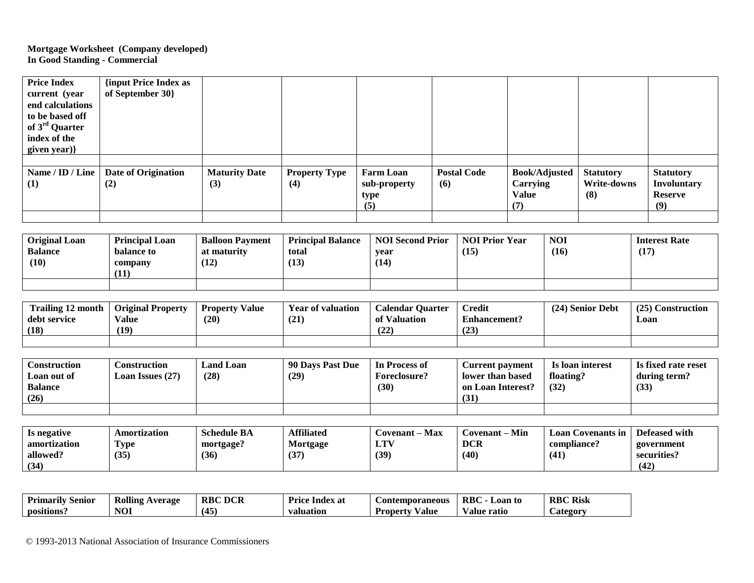## **Mortgage Worksheet (Company developed) In Good Standing - Commercial**

| <b>Price Index</b><br>current (year<br>end calculations<br>to be based off<br>of 3 <sup>rd</sup> Quarter<br>index of the<br>given year)} | {input Price Index as<br>of September 30} |                             |                             |                                                 |                           |                                                         |                                        |                                                                 |
|------------------------------------------------------------------------------------------------------------------------------------------|-------------------------------------------|-----------------------------|-----------------------------|-------------------------------------------------|---------------------------|---------------------------------------------------------|----------------------------------------|-----------------------------------------------------------------|
| Name / ID / Line<br>(1)                                                                                                                  | <b>Date of Origination</b><br>(2)         | <b>Maturity Date</b><br>(3) | <b>Property Type</b><br>(4) | <b>Farm Loan</b><br>sub-property<br>type<br>(5) | <b>Postal Code</b><br>(6) | <b>Book/Adjusted</b><br>Carrying<br><b>Value</b><br>(7) | <b>Statutory</b><br>Write-downs<br>(8) | <b>Statutory</b><br><b>Involuntary</b><br><b>Reserve</b><br>(9) |

| <b>Original Loan</b><br><b>Balance</b><br>(10) | <b>Principal Loan</b><br>balance to<br>company<br>(11) | <b>Balloon Payment</b><br>at maturity<br>(12) | <b>Principal Balance</b><br>total<br>(13) | <b>NOI Second Prior</b><br>vear<br>(14) | <b>NOI Prior Year</b><br>(15) | <b>NOI</b><br>(16) | <b>Interest Rate</b><br>(17) |
|------------------------------------------------|--------------------------------------------------------|-----------------------------------------------|-------------------------------------------|-----------------------------------------|-------------------------------|--------------------|------------------------------|
|                                                |                                                        |                                               |                                           |                                         |                               |                    |                              |

| <b>Trailing 12 month</b><br>m | <b>Original Property</b> | Value<br><b>Property</b> | <b>Year of valuation</b> | <b>Calendar Quarter</b> | <b>Credit</b>       | (24) Senior Debt | (25)<br>$\sim$<br>Construction |
|-------------------------------|--------------------------|--------------------------|--------------------------|-------------------------|---------------------|------------------|--------------------------------|
| debt service                  | Value                    | (20)                     | (21)                     | of Valuation            | <b>Enhancement?</b> |                  | Loan                           |
| (18)                          | (19)                     |                          |                          | د د،<br>14£             | (23)                |                  |                                |
|                               |                          |                          |                          |                         |                     |                  |                                |

| Construction   | Construction            | <b>Land Loan</b> | 90 Davs Past Due | In Process of | <b>Current payment</b> | Is loan interest | Is fixed rate reset |
|----------------|-------------------------|------------------|------------------|---------------|------------------------|------------------|---------------------|
| Loan out of    | <b>Loan Issues (27)</b> | (28)             | (29)             | Foreclosure?  | lower than based       | floating?        | during term?        |
| <b>Balance</b> |                         |                  |                  | (30)          | on Loan Interest?      | (32)             | (33)                |
| (26)           |                         |                  |                  |               | (31)                   |                  |                     |
|                |                         |                  |                  |               |                        |                  |                     |

| Is negative  | Amortization     | <b>Schedule BA</b> | Affiliated | <b>Max</b><br>$\sim$ ovenant – " | Min<br>Covenant | Loan Covenants in | Defeased with |
|--------------|------------------|--------------------|------------|----------------------------------|-----------------|-------------------|---------------|
| amortization | m<br><b>Type</b> | mortgage?          | Mortgage   | i Tit<br>LI.                     | <b>DCR</b>      | compliance?       | government    |
| allowed?     | (35)             | (36)               | (37)       | (39)                             | (40)            | (41               | securities?   |
| (34)         |                  |                    |            |                                  |                 |                   | (42)          |

| <b>Primarily</b><br>Semor | <br><b>Rolling Average</b> | <b>RBC DCR</b> | Index at<br>Price. | <b>Contemporaneous</b> | <b>RBC</b><br>∟oan to | <b>RBC Risk</b>      |
|---------------------------|----------------------------|----------------|--------------------|------------------------|-----------------------|----------------------|
| positions                 | <b>NOI</b>                 | '4⊾′<br>≖⊷     | valuation          | √alue<br>Property      | ∕alue ratio           | $\mathcal{L}$ ategor |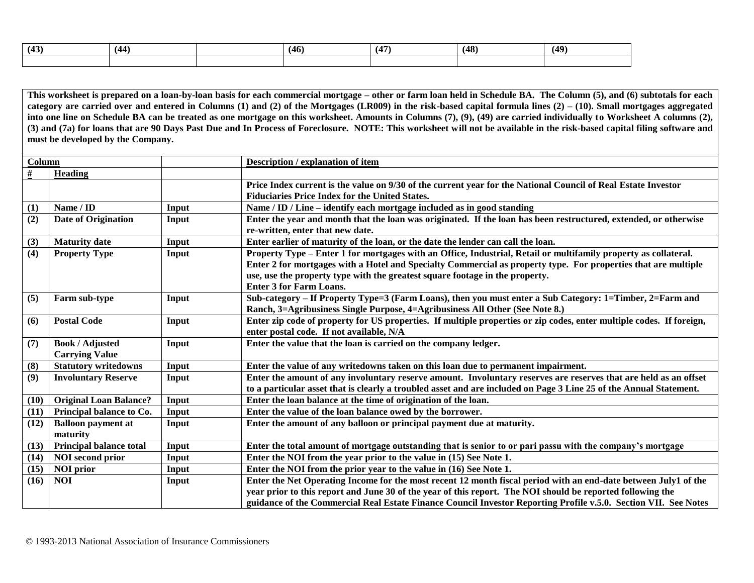| (43) | (44) | (46) | (47) | (48) | (49) |
|------|------|------|------|------|------|
|      |      |      |      |      |      |

**This worksheet is prepared on a loan-by-loan basis for each commercial mortgage – other or farm loan held in Schedule BA. The Column (5), and (6) subtotals for each category are carried over and entered in Columns (1) and (2) of the Mortgages (LR009) in the risk-based capital formula lines (2) – (10). Small mortgages aggregated into one line on Schedule BA can be treated as one mortgage on this worksheet. Amounts in Columns (7), (9), (49) are carried individually to Worksheet A columns (2), (3) and (7a) for loans that are 90 Days Past Due and In Process of Foreclosure. NOTE: This worksheet will not be available in the risk-based capital filing software and must be developed by the Company.**

| Column |                               |       | Description / explanation of item                                                                                    |  |  |
|--------|-------------------------------|-------|----------------------------------------------------------------------------------------------------------------------|--|--|
| #      | Heading                       |       |                                                                                                                      |  |  |
|        |                               |       | Price Index current is the value on 9/30 of the current year for the National Council of Real Estate Investor        |  |  |
|        |                               |       | <b>Fiduciaries Price Index for the United States.</b>                                                                |  |  |
| (1)    | Name / ID                     | Input | Name / ID / Line – identify each mortgage included as in good standing                                               |  |  |
| (2)    | Date of Origination           | Input | Enter the year and month that the loan was originated. If the loan has been restructured, extended, or otherwise     |  |  |
|        |                               |       | re-written, enter that new date.                                                                                     |  |  |
| (3)    | <b>Maturity date</b>          | Input | Enter earlier of maturity of the loan, or the date the lender can call the loan.                                     |  |  |
| (4)    | <b>Property Type</b>          | Input | Property Type – Enter 1 for mortgages with an Office, Industrial, Retail or multifamily property as collateral.      |  |  |
|        |                               |       | Enter 2 for mortgages with a Hotel and Specialty Commercial as property type. For properties that are multiple       |  |  |
|        |                               |       | use, use the property type with the greatest square footage in the property.                                         |  |  |
|        |                               |       | <b>Enter 3 for Farm Loans.</b>                                                                                       |  |  |
| (5)    | Farm sub-type                 | Input | Sub-category – If Property Type=3 (Farm Loans), then you must enter a Sub Category: 1=Timber, 2=Farm and             |  |  |
|        |                               |       | Ranch, 3=Agribusiness Single Purpose, 4=Agribusiness All Other (See Note 8.)                                         |  |  |
| (6)    | <b>Postal Code</b>            | Input | Enter zip code of property for US properties. If multiple properties or zip codes, enter multiple codes. If foreign, |  |  |
|        |                               |       | enter postal code. If not available, N/A                                                                             |  |  |
| (7)    | <b>Book / Adjusted</b>        | Input | Enter the value that the loan is carried on the company ledger.                                                      |  |  |
|        | <b>Carrying Value</b>         |       |                                                                                                                      |  |  |
| (8)    | <b>Statutory writedowns</b>   | Input | Enter the value of any writedowns taken on this loan due to permanent impairment.                                    |  |  |
| (9)    | <b>Involuntary Reserve</b>    | Input | Enter the amount of any involuntary reserve amount. Involuntary reserves are reserves that are held as an offset     |  |  |
|        |                               |       | to a particular asset that is clearly a troubled asset and are included on Page 3 Line 25 of the Annual Statement.   |  |  |
| (10)   | <b>Original Loan Balance?</b> | Input | Enter the loan balance at the time of origination of the loan.                                                       |  |  |
| (11)   | Principal balance to Co.      | Input | Enter the value of the loan balance owed by the borrower.                                                            |  |  |
| (12)   | <b>Balloon payment at</b>     | Input | Enter the amount of any balloon or principal payment due at maturity.                                                |  |  |
|        | maturity                      |       |                                                                                                                      |  |  |
| (13)   | Principal balance total       | Input | Enter the total amount of mortgage outstanding that is senior to or pari passu with the company's mortgage           |  |  |
| (14)   | <b>NOI</b> second prior       | Input | Enter the NOI from the year prior to the value in (15) See Note 1.                                                   |  |  |
| (15)   | <b>NOI</b> prior              | Input | Enter the NOI from the prior year to the value in (16) See Note 1.                                                   |  |  |
| (16)   | <b>NOI</b>                    | Input | Enter the Net Operating Income for the most recent 12 month fiscal period with an end-date between July1 of the      |  |  |
|        |                               |       | year prior to this report and June 30 of the year of this report. The NOI should be reported following the           |  |  |
|        |                               |       | guidance of the Commercial Real Estate Finance Council Investor Reporting Profile v.5.0. Section VII. See Notes      |  |  |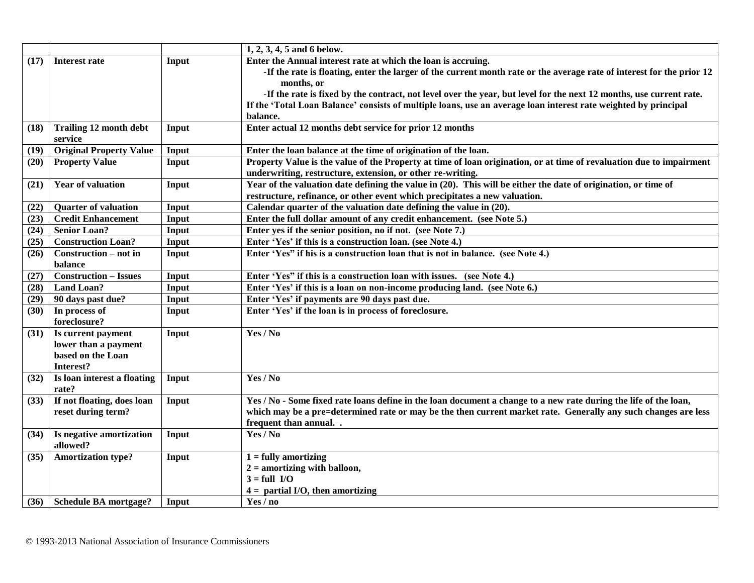|      |                                |       | $1, 2, 3, 4, 5$ and 6 below.                                                                                          |
|------|--------------------------------|-------|-----------------------------------------------------------------------------------------------------------------------|
| (17) | <b>Interest rate</b>           | Input | Enter the Annual interest rate at which the loan is accruing.                                                         |
|      |                                |       | -If the rate is floating, enter the larger of the current month rate or the average rate of interest for the prior 12 |
|      |                                |       | months, or                                                                                                            |
|      |                                |       | -If the rate is fixed by the contract, not level over the year, but level for the next 12 months, use current rate.   |
|      |                                |       | If the 'Total Loan Balance' consists of multiple loans, use an average loan interest rate weighted by principal       |
|      |                                |       | balance.                                                                                                              |
| (18) | <b>Trailing 12 month debt</b>  | Input | Enter actual 12 months debt service for prior 12 months                                                               |
|      | service                        |       |                                                                                                                       |
| (19) | <b>Original Property Value</b> | Input | Enter the loan balance at the time of origination of the loan.                                                        |
| (20) | <b>Property Value</b>          | Input | Property Value is the value of the Property at time of loan origination, or at time of revaluation due to impairment  |
|      |                                |       | underwriting, restructure, extension, or other re-writing.                                                            |
| (21) | <b>Year of valuation</b>       | Input | Year of the valuation date defining the value in (20). This will be either the date of origination, or time of        |
|      |                                |       | restructure, refinance, or other event which precipitates a new valuation.                                            |
| (22) | <b>Quarter of valuation</b>    | Input | Calendar quarter of the valuation date defining the value in (20).                                                    |
| (23) | <b>Credit Enhancement</b>      | Input | Enter the full dollar amount of any credit enhancement. (see Note 5.)                                                 |
| (24) | <b>Senior Loan?</b>            | Input | Enter yes if the senior position, no if not. (see Note 7.)                                                            |
| (25) | <b>Construction Loan?</b>      | Input | Enter 'Yes' if this is a construction loan. (see Note 4.)                                                             |
| (26) | Construction – not in          | Input | Enter 'Yes" if his is a construction loan that is not in balance. (see Note 4.)                                       |
|      | balance                        |       |                                                                                                                       |
| (27) | <b>Construction - Issues</b>   | Input | Enter 'Yes" if this is a construction loan with issues. (see Note 4.)                                                 |
| (28) | <b>Land Loan?</b>              | Input | Enter 'Yes' if this is a loan on non-income producing land. (see Note 6.)                                             |
| (29) | 90 days past due?              | Input | Enter 'Yes' if payments are 90 days past due.                                                                         |
| (30) | In process of                  | Input | Enter 'Yes' if the loan is in process of foreclosure.                                                                 |
|      | foreclosure?                   |       |                                                                                                                       |
| (31) | Is current payment             | Input | Yes / No                                                                                                              |
|      | lower than a payment           |       |                                                                                                                       |
|      | based on the Loan              |       |                                                                                                                       |
|      | Interest?                      |       |                                                                                                                       |
| (32) | Is loan interest a floating    | Input | Yes / No                                                                                                              |
|      | rate?                          |       |                                                                                                                       |
| (33) | If not floating, does loan     | Input | Yes / No - Some fixed rate loans define in the loan document a change to a new rate during the life of the loan,      |
|      | reset during term?             |       | which may be a pre=determined rate or may be the then current market rate. Generally any such changes are less        |
|      |                                |       | frequent than annual                                                                                                  |
| (34) | Is negative amortization       | Input | Yes / No                                                                                                              |
|      | allowed?                       |       |                                                                                                                       |
| (35) | <b>Amortization type?</b>      | Input | $1 =$ fully amortizing                                                                                                |
|      |                                |       | $2 =$ amortizing with balloon,                                                                                        |
|      |                                |       | $3 = full I/O$                                                                                                        |
|      |                                |       | $4 =$ partial I/O, then amortizing                                                                                    |
|      | $(36)$ Schedule BA mortgage?   | Input | Yes / no                                                                                                              |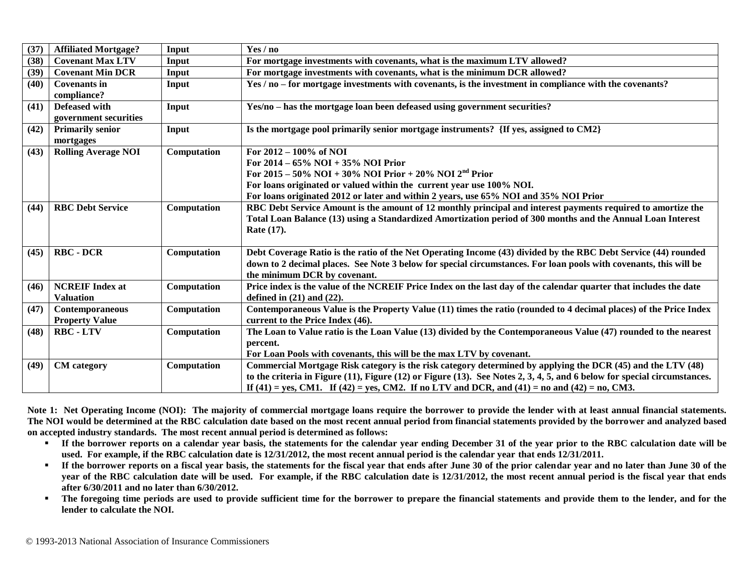| (37) | <b>Affiliated Mortgage?</b> | Input       | Yes / no                                                                                                                         |  |  |
|------|-----------------------------|-------------|----------------------------------------------------------------------------------------------------------------------------------|--|--|
| (38) | <b>Covenant Max LTV</b>     | Input       | For mortgage investments with covenants, what is the maximum LTV allowed?                                                        |  |  |
| (39) | <b>Covenant Min DCR</b>     | Input       | For mortgage investments with covenants, what is the minimum DCR allowed?                                                        |  |  |
| (40) | Covenants in                | Input       | Yes / no – for mortgage investments with covenants, is the investment in compliance with the covenants?                          |  |  |
|      | compliance?                 |             |                                                                                                                                  |  |  |
| (41) | Defeased with               | Input       | Yes/no - has the mortgage loan been defeased using government securities?                                                        |  |  |
|      | government securities       |             |                                                                                                                                  |  |  |
| (42) | <b>Primarily senior</b>     | Input       | Is the mortgage pool primarily senior mortgage instruments? {If yes, assigned to CM2}                                            |  |  |
|      | mortgages                   |             |                                                                                                                                  |  |  |
| (43) | <b>Rolling Average NOI</b>  | Computation | For $2012 - 100\%$ of NOI                                                                                                        |  |  |
|      |                             |             | For $2014 - 65\%$ NOI + 35% NOI Prior                                                                                            |  |  |
|      |                             |             | For 2015 – 50% NOI + 30% NOI Prior + 20% NOI 2 <sup>nd</sup> Prior                                                               |  |  |
|      |                             |             | For loans originated or valued within the current year use 100% NOI.                                                             |  |  |
|      |                             |             | For loans originated 2012 or later and within 2 years, use 65% NOI and 35% NOI Prior                                             |  |  |
| (44) | <b>RBC Debt Service</b>     | Computation | RBC Debt Service Amount is the amount of 12 monthly principal and interest payments required to amortize the                     |  |  |
|      |                             |             | Total Loan Balance (13) using a Standardized Amortization period of 300 months and the Annual Loan Interest                      |  |  |
|      |                             |             | Rate (17).                                                                                                                       |  |  |
|      |                             |             |                                                                                                                                  |  |  |
| (45) | <b>RBC - DCR</b>            | Computation | Debt Coverage Ratio is the ratio of the Net Operating Income (43) divided by the RBC Debt Service (44) rounded                   |  |  |
|      |                             |             | down to 2 decimal places. See Note 3 below for special circumstances. For loan pools with covenants, this will be                |  |  |
|      |                             |             | the minimum DCR by covenant.                                                                                                     |  |  |
| (46) | <b>NCREIF</b> Index at      | Computation | Price index is the value of the NCREIF Price Index on the last day of the calendar quarter that includes the date                |  |  |
|      | <b>Valuation</b>            |             | defined in $(21)$ and $(22)$ .                                                                                                   |  |  |
| (47) | <b>Contemporaneous</b>      | Computation | Contemporaneous Value is the Property Value (11) times the ratio (rounded to 4 decimal places) of the Price Index                |  |  |
|      | <b>Property Value</b>       |             | current to the Price Index (46).                                                                                                 |  |  |
| (48) | <b>RBC - LTV</b>            | Computation | The Loan to Value ratio is the Loan Value (13) divided by the Contemporaneous Value (47) rounded to the nearest                  |  |  |
|      |                             |             | percent.                                                                                                                         |  |  |
|      |                             |             | For Loan Pools with covenants, this will be the max LTV by covenant.                                                             |  |  |
| (49) | <b>CM</b> category          | Computation | Commercial Mortgage Risk category is the risk category determined by applying the DCR (45) and the LTV (48)                      |  |  |
|      |                             |             | to the criteria in Figure $(11)$ , Figure $(12)$ or Figure $(13)$ . See Notes 2, 3, 4, 5, and 6 below for special circumstances. |  |  |
|      |                             |             | If (41) = yes, CM1. If (42) = yes, CM2. If no LTV and DCR, and (41) = no and (42) = no, CM3.                                     |  |  |

Note 1: Net Operating Income (NOI): The majority of commercial mortgage loans require the borrower to provide the lender with at least annual financial statements. **The NOI would be determined at the RBC calculation date based on the most recent annual period from financial statements provided by the borrower and analyzed based on accepted industry standards. The most recent annual period is determined as follows:**

- **If the borrower reports on a calendar year basis, the statements for the calendar year ending December 31 of the year prior to the RBC calculation date will be used. For example, if the RBC calculation date is 12/31/2012, the most recent annual period is the calendar year that ends 12/31/2011.**
- **If the borrower reports on a fiscal year basis, the statements for the fiscal year that ends after June 30 of the prior calendar year and no later than June 30 of the year of the RBC calculation date will be used. For example, if the RBC calculation date is 12/31/2012, the most recent annual period is the fiscal year that ends after 6/30/2011 and no later than 6/30/2012.**
- **The foregoing time periods are used to provide sufficient time for the borrower to prepare the financial statements and provide them to the lender, and for the lender to calculate the NOI.**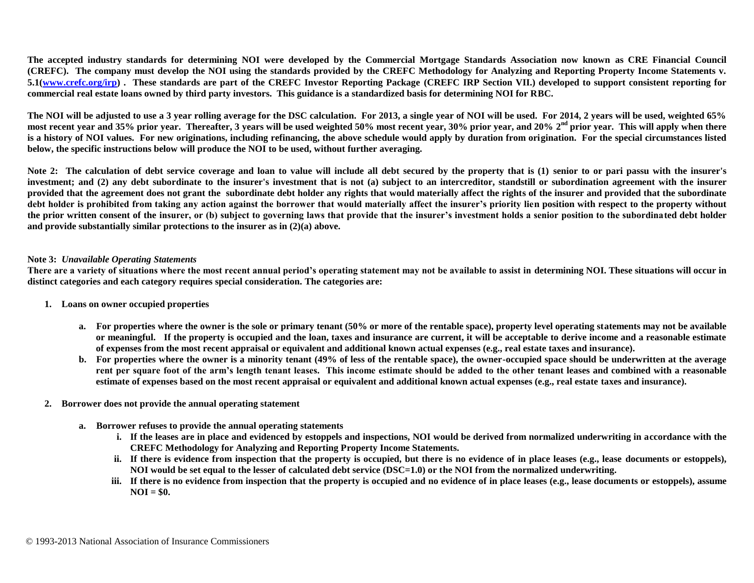**The accepted industry standards for determining NOI were developed by the Commercial Mortgage Standards Association now known as CRE Financial Council (CREFC). The company must develop the NOI using the standards provided by the CREFC Methodology for Analyzing and Reporting Property Income Statements v. 5.1[\(www.crefc.org/irp\)](http://www.crefc.org/irp) . These standards are part of the CREFC Investor Reporting Package (CREFC IRP Section VII.) developed to support consistent reporting for commercial real estate loans owned by third party investors. This guidance is a standardized basis for determining NOI for RBC.**

**The NOI will be adjusted to use a 3 year rolling average for the DSC calculation. For 2013, a single year of NOI will be used. For 2014, 2 years will be used, weighted 65%**  most recent year and 35% prior year. Thereafter, 3 years will be used weighted 50% most recent year, 30% prior year, and 20% 2<sup>nd</sup> prior year. This will apply when there **is a history of NOI values. For new originations, including refinancing, the above schedule would apply by duration from origination. For the special circumstances listed below, the specific instructions below will produce the NOI to be used, without further averaging.** 

**Note 2: The calculation of debt service coverage and loan to value will include all debt secured by the property that is (1) senior to or pari passu with the insurer's investment; and (2) any debt subordinate to the insurer's investment that is not (a) subject to an intercreditor, standstill or subordination agreement with the insurer provided that the agreement does not grant the subordinate debt holder any rights that would materially affect the rights of the insurer and provided that the subordinate debt holder is prohibited from taking any action against the borrower that would materially affect the insurer's priority lien position with respect to the property without the prior written consent of the insurer, or (b) subject to governing laws that provide that the insurer's investment holds a senior position to the subordinated debt holder and provide substantially similar protections to the insurer as in (2)(a) above.** 

#### **Note 3:** *Unavailable Operating Statements*

**There are a variety of situations where the most recent annual period's operating statement may not be available to assist in determining NOI. These situations will occur in distinct categories and each category requires special consideration. The categories are:**

- **1. Loans on owner occupied properties**
	- **a. For properties where the owner is the sole or primary tenant (50% or more of the rentable space), property level operating statements may not be available or meaningful. If the property is occupied and the loan, taxes and insurance are current, it will be acceptable to derive income and a reasonable estimate of expenses from the most recent appraisal or equivalent and additional known actual expenses (e.g., real estate taxes and insurance).**
	- **b. For properties where the owner is a minority tenant (49% of less of the rentable space), the owner-occupied space should be underwritten at the average rent per square foot of the arm's length tenant leases. This income estimate should be added to the other tenant leases and combined with a reasonable estimate of expenses based on the most recent appraisal or equivalent and additional known actual expenses (e.g., real estate taxes and insurance).**
- **2. Borrower does not provide the annual operating statement**
	- **a. Borrower refuses to provide the annual operating statements**
		- **i. If the leases are in place and evidenced by estoppels and inspections, NOI would be derived from normalized underwriting in accordance with the CREFC Methodology for Analyzing and Reporting Property Income Statements.**
		- **ii. If there is evidence from inspection that the property is occupied, but there is no evidence of in place leases (e.g., lease documents or estoppels), NOI would be set equal to the lesser of calculated debt service (DSC=1.0) or the NOI from the normalized underwriting.**
		- **iii. If there is no evidence from inspection that the property is occupied and no evidence of in place leases (e.g., lease documents or estoppels), assume NOI = \$0.**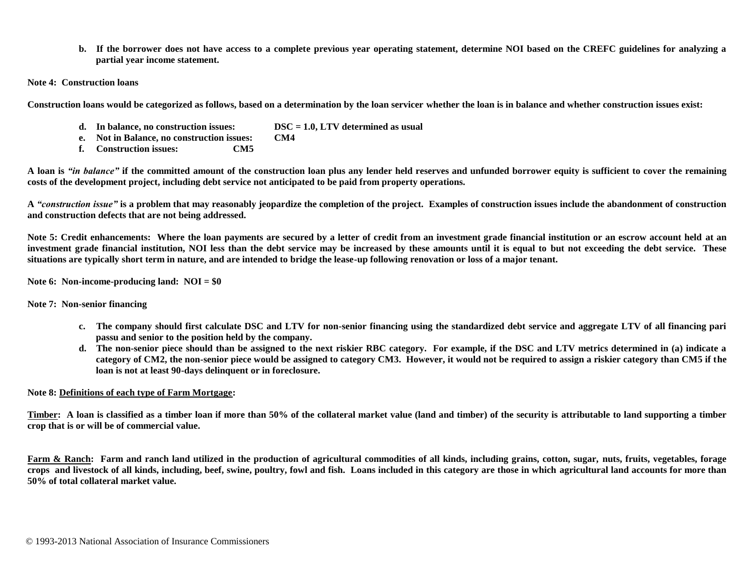**b. If the borrower does not have access to a complete previous year operating statement, determine NOI based on the CREFC guidelines for analyzing a partial year income statement.**

**Note 4: Construction loans** 

**Construction loans would be categorized as follows, based on a determination by the loan servicer whether the loan is in balance and whether construction issues exist:**

- **d. In balance, no construction issues: DSC = 1.0, LTV determined as usual**
- **e. Not in Balance, no construction issues: CM4**
- **f. Construction issues: CM5**

**A loan is** *"in balance"* **if the committed amount of the construction loan plus any lender held reserves and unfunded borrower equity is sufficient to cover the remaining costs of the development project, including debt service not anticipated to be paid from property operations.**

**A** *"construction issue"* **is a problem that may reasonably jeopardize the completion of the project. Examples of construction issues include the abandonment of construction and construction defects that are not being addressed.**

Note 5: Credit enhancements: Where the loan payments are secured by a letter of credit from an investment grade financial institution or an escrow account held at an **investment grade financial institution, NOI less than the debt service may be increased by these amounts until it is equal to but not exceeding the debt service. These situations are typically short term in nature, and are intended to bridge the lease-up following renovation or loss of a major tenant.**

**Note 6: Non-income-producing land: NOI = \$0**

**Note 7: Non-senior financing**

- **c. The company should first calculate DSC and LTV for non-senior financing using the standardized debt service and aggregate LTV of all financing pari passu and senior to the position held by the company.**
- **d. The non-senior piece should than be assigned to the next riskier RBC category. For example, if the DSC and LTV metrics determined in (a) indicate a category of CM2, the non-senior piece would be assigned to category CM3. However, it would not be required to assign a riskier category than CM5 if the loan is not at least 90-days delinquent or in foreclosure.**

#### **Note 8: Definitions of each type of Farm Mortgage:**

**Timber: A loan is classified as a timber loan if more than 50% of the collateral market value (land and timber) of the security is attributable to land supporting a timber crop that is or will be of commercial value.** 

Farm & Ranch: Farm and ranch land utilized in the production of agricultural commodities of all kinds, including grains, cotton, sugar, nuts, fruits, vegetables, forage **crops and livestock of all kinds, including, beef, swine, poultry, fowl and fish. Loans included in this category are those in which agricultural land accounts for more than 50% of total collateral market value.**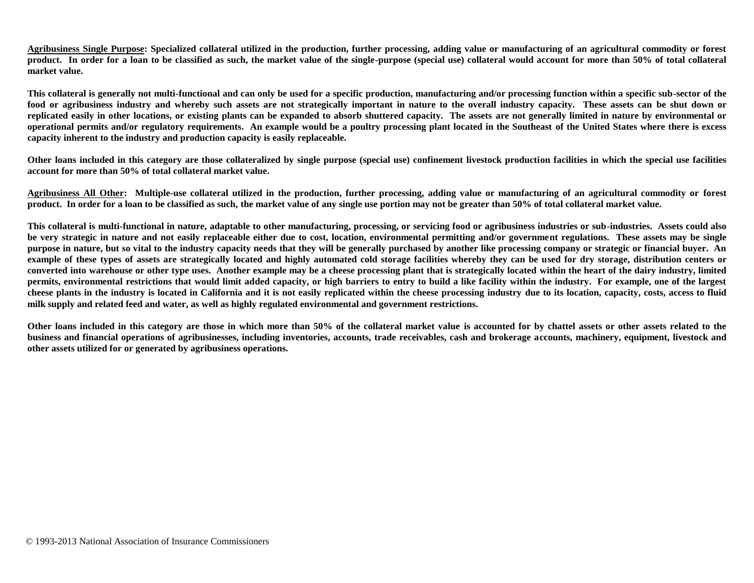**Agribusiness Single Purpose: Specialized collateral utilized in the production, further processing, adding value or manufacturing of an agricultural commodity or forest product. In order for a loan to be classified as such, the market value of the single-purpose (special use) collateral would account for more than 50% of total collateral market value.** 

**This collateral is generally not multi-functional and can only be used for a specific production, manufacturing and/or processing function within a specific sub-sector of the food or agribusiness industry and whereby such assets are not strategically important in nature to the overall industry capacity. These assets can be shut down or replicated easily in other locations, or existing plants can be expanded to absorb shuttered capacity. The assets are not generally limited in nature by environmental or operational permits and/or regulatory requirements. An example would be a poultry processing plant located in the Southeast of the United States where there is excess capacity inherent to the industry and production capacity is easily replaceable.** 

**Other loans included in this category are those collateralized by single purpose (special use) confinement livestock production facilities in which the special use facilities account for more than 50% of total collateral market value.** 

**Agribusiness All Other: Multiple-use collateral utilized in the production, further processing, adding value or manufacturing of an agricultural commodity or forest product.** In order for a loan to be classified as such, the market value of any single use portion may not be greater than 50% of total collateral market value.

**This collateral is multi-functional in nature, adaptable to other manufacturing, processing, or servicing food or agribusiness industries or sub-industries. Assets could also be very strategic in nature and not easily replaceable either due to cost, location, environmental permitting and/or government regulations. These assets may be single purpose in nature, but so vital to the industry capacity needs that they will be generally purchased by another like processing company or strategic or financial buyer. An example of these types of assets are strategically located and highly automated cold storage facilities whereby they can be used for dry storage, distribution centers or converted into warehouse or other type uses. Another example may be a cheese processing plant that is strategically located within the heart of the dairy industry, limited permits, environmental restrictions that would limit added capacity, or high barriers to entry to build a like facility within the industry. For example, one of the largest cheese plants in the industry is located in California and it is not easily replicated within the cheese processing industry due to its location, capacity, costs, access to fluid milk supply and related feed and water, as well as highly regulated environmental and government restrictions.**

**Other loans included in this category are those in which more than 50% of the collateral market value is accounted for by chattel assets or other assets related to the business and financial operations of agribusinesses, including inventories, accounts, trade receivables, cash and brokerage accounts, machinery, equipment, livestock and other assets utilized for or generated by agribusiness operations.**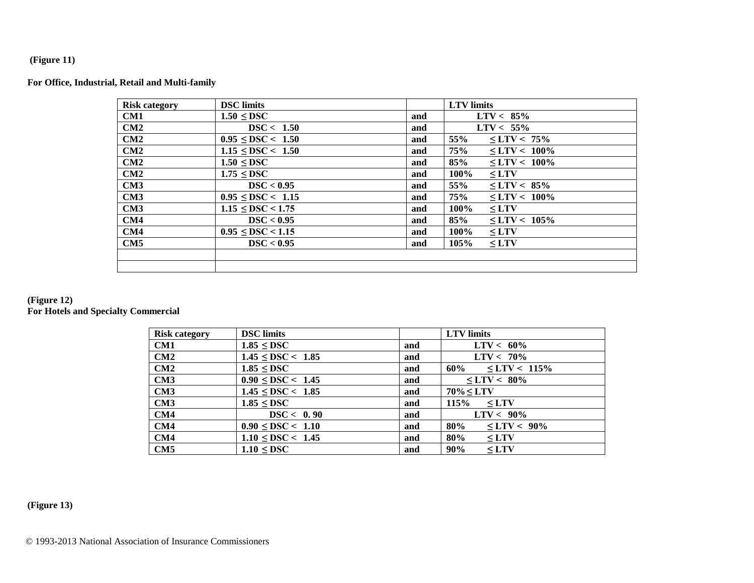## **(Figure 11)**

## **For Office, Industrial, Retail and Multi-family**

| <b>Risk category</b> | <b>DSC</b> limits           |     | <b>LTV</b> limits                           |
|----------------------|-----------------------------|-----|---------------------------------------------|
| CM1                  | $1.50 \leq DSC$             | and | $LTV < 85\%$                                |
| CM2                  | DSC < 1.50                  | and | $LTV < 55\%$                                |
| CM2                  | $0.95 \leq DSC < 1.50$      | and | 55%<br>$\leq$ LTV < 75%                     |
| CM2                  | $1.15 \leq DSC < 1.50$      | and | 75%<br>$\text{STV} < 100\%$                 |
| CM2                  | $1.50 \leq DSC$             | and | 85%<br>$\leq$ LTV < 100%                    |
| CM2                  | $1.75 \leq DSC$             | and | $100\%$<br>$\leq$ LTV                       |
| CM3                  | DSC < 0.95                  | and | 55%<br>$\text{C}$ C $\text{LTV}$ $\leq$ 85% |
| CM3                  | $0.95 \leq DSC \leq 1.15$   | and | 75%<br>$\text{LTV}$ < 100%                  |
| CM3                  | $1.15 \leq DSC \leq 1.75$   | and | $100\%$<br>$\leq$ LTV                       |
| CM4                  | DSC < 0.95                  | and | 85%<br>$\text{LTV} < 105\%$                 |
| CM4                  | $0.95 \leq$ DSC $\leq$ 1.15 | and | $100\%$<br>$\leq$ LTV                       |
| CM5                  | DSC < 0.95                  | and | 105%<br>$\leq$ LTV                          |
|                      |                             |     |                                             |
|                      |                             |     |                                             |

#### **(Figure 12) For Hotels and Specialty Commercial**

| <b>Risk category</b> | <b>DSC</b> limits      |     | <b>LTV</b> limits                                                                                                                                                                                                                                                                                                         |
|----------------------|------------------------|-----|---------------------------------------------------------------------------------------------------------------------------------------------------------------------------------------------------------------------------------------------------------------------------------------------------------------------------|
| CM1                  | $1.85 \leq DSC$        | and | $LTV < 60\%$                                                                                                                                                                                                                                                                                                              |
| CM2                  | $1.45 \leq DSC < 1.85$ | and | $LTV < 70\%$                                                                                                                                                                                                                                                                                                              |
| CM2                  | $1.85 \leq DSC$        | and | $60\% \leq LTV < 115\%$                                                                                                                                                                                                                                                                                                   |
| CM3                  | $0.90 \leq DSC < 1.45$ | and | $\text{C}$ = LTV $\text{C}$ = 80%                                                                                                                                                                                                                                                                                         |
| CM3                  | $1.45 \leq DSC < 1.85$ | and | $70\% < LTV$                                                                                                                                                                                                                                                                                                              |
| CM3                  | $1.85 \leq DSC$        | and | $115\% \leq LTV$                                                                                                                                                                                                                                                                                                          |
| CM4                  | DSC < 0.90             | and | $LTV < 90\%$                                                                                                                                                                                                                                                                                                              |
| CM4                  | $0.90 \leq DSC < 1.10$ | and | 80%<br>$\text{C}$ $\text{C}$ $\text{C}$ $\text{C}$ $\text{C}$ $\text{C}$ $\text{C}$ $\text{C}$ $\text{C}$ $\text{C}$ $\text{C}$ $\text{C}$ $\text{C}$ $\text{C}$ $\text{C}$ $\text{C}$ $\text{C}$ $\text{C}$ $\text{C}$ $\text{C}$ $\text{C}$ $\text{C}$ $\text{C}$ $\text{C}$ $\text{C}$ $\text{C}$ $\text{C}$ $\text{C$ |
| CM4                  | $1.10 \leq DSC < 1.45$ | and | 80%<br>$\leq$ LTV                                                                                                                                                                                                                                                                                                         |
| CM5                  | $1.10 \leq DSC$        | and | $90\%$<br>$\leq$ LTV                                                                                                                                                                                                                                                                                                      |

# **(Figure 13)**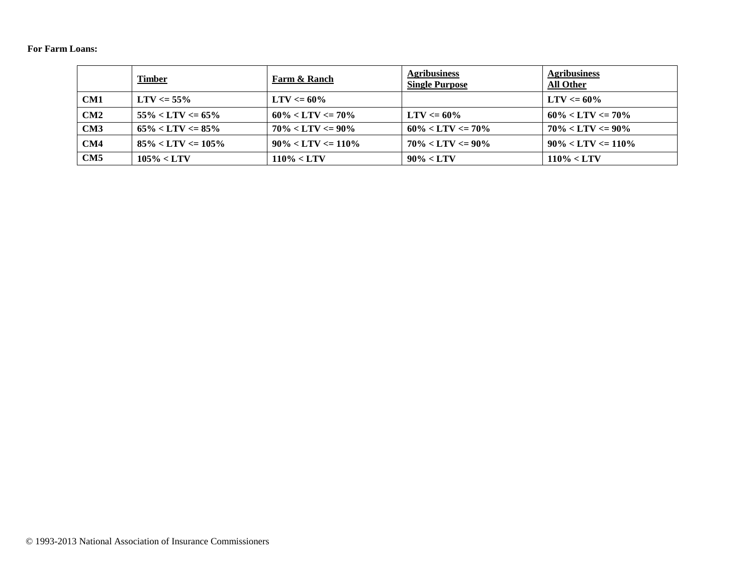## **For Farm Loans:**

|     | <b>Timber</b>          | Farm & Ranch           | <b>Agribusiness</b><br><b>Single Purpose</b> | <b>Agribusiness</b><br><b>All Other</b> |
|-----|------------------------|------------------------|----------------------------------------------|-----------------------------------------|
| CM1 | $LTV \le 55\%$         | $LTV \le 60\%$         |                                              | $LTV \le 60\%$                          |
| CM2 | $55\% < LTV \le 65\%$  | $60\% < LTV \le 70\%$  | $LTV \le 60\%$                               | $60\% < LTV \le 70\%$                   |
| CM3 | $65\% < LTV \le 85\%$  | $70\% < LTV \le 90\%$  | $60\% < LTV \le 70\%$                        | $70\% < LTV \le 90\%$                   |
| CM4 | $85\% < LTV \le 105\%$ | $90\% < LTV \le 110\%$ | $70\% < LTV \le 90\%$                        | $90\% < LTV \le 110\%$                  |
| CM5 | $105\% < LTV$          | $110\% < LTV$          | $90\% < LTV$                                 | $110\% < LTV$                           |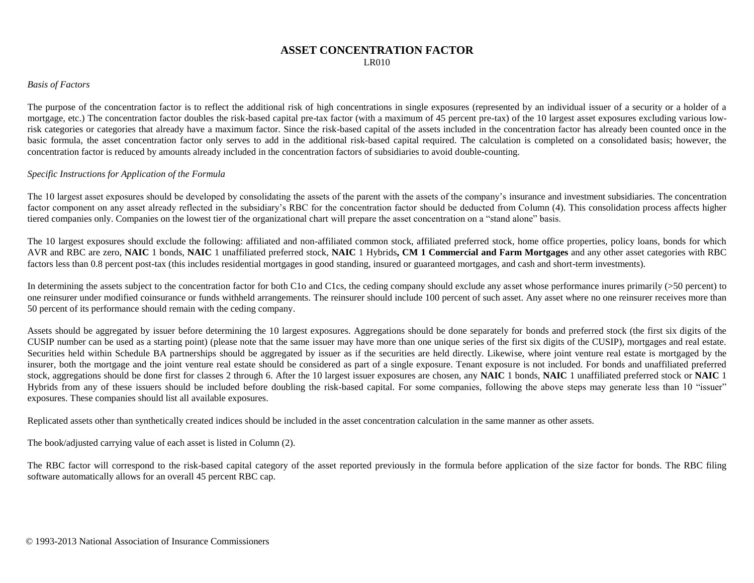## **ASSET CONCENTRATION FACTOR** LR010

#### *Basis of Factors*

The purpose of the concentration factor is to reflect the additional risk of high concentrations in single exposures (represented by an individual issuer of a security or a holder of a mortgage, etc.) The concentration factor doubles the risk-based capital pre-tax factor (with a maximum of 45 percent pre-tax) of the 10 largest asset exposures excluding various lowrisk categories or categories that already have a maximum factor. Since the risk-based capital of the assets included in the concentration factor has already been counted once in the basic formula, the asset concentration factor only serves to add in the additional risk-based capital required. The calculation is completed on a consolidated basis; however, the concentration factor is reduced by amounts already included in the concentration factors of subsidiaries to avoid double-counting.

#### *Specific Instructions for Application of the Formula*

The 10 largest asset exposures should be developed by consolidating the assets of the parent with the assets of the company's insurance and investment subsidiaries. The concentration factor component on any asset already reflected in the subsidiary's RBC for the concentration factor should be deducted from Column (4). This consolidation process affects higher tiered companies only. Companies on the lowest tier of the organizational chart will prepare the asset concentration on a "stand alone" basis.

The 10 largest exposures should exclude the following: affiliated and non-affiliated common stock, affiliated preferred stock, home office properties, policy loans, bonds for which AVR and RBC are zero, **NAIC** 1 bonds, **NAIC** 1 unaffiliated preferred stock, **NAIC** 1 Hybrids**, CM 1 Commercial and Farm Mortgages** and any other asset categories with RBC factors less than 0.8 percent post-tax (this includes residential mortgages in good standing, insured or guaranteed mortgages, and cash and short-term investments).

In determining the assets subject to the concentration factor for both C1o and C1cs, the ceding company should exclude any asset whose performance inures primarily (>50 percent) to one reinsurer under modified coinsurance or funds withheld arrangements. The reinsurer should include 100 percent of such asset. Any asset where no one reinsurer receives more than 50 percent of its performance should remain with the ceding company.

Assets should be aggregated by issuer before determining the 10 largest exposures. Aggregations should be done separately for bonds and preferred stock (the first six digits of the CUSIP number can be used as a starting point) (please note that the same issuer may have more than one unique series of the first six digits of the CUSIP), mortgages and real estate. Securities held within Schedule BA partnerships should be aggregated by issuer as if the securities are held directly. Likewise, where joint venture real estate is mortgaged by the insurer, both the mortgage and the joint venture real estate should be considered as part of a single exposure. Tenant exposure is not included. For bonds and unaffiliated preferred stock, aggregations should be done first for classes 2 through 6. After the 10 largest issuer exposures are chosen, any **NAIC** 1 bonds, **NAIC** 1 unaffiliated preferred stock or **NAIC** 1 Hybrids from any of these issuers should be included before doubling the risk-based capital. For some companies, following the above steps may generate less than 10 "issuer" exposures. These companies should list all available exposures.

Replicated assets other than synthetically created indices should be included in the asset concentration calculation in the same manner as other assets.

The book/adjusted carrying value of each asset is listed in Column (2).

The RBC factor will correspond to the risk-based capital category of the asset reported previously in the formula before application of the size factor for bonds. The RBC filing software automatically allows for an overall 45 percent RBC cap.